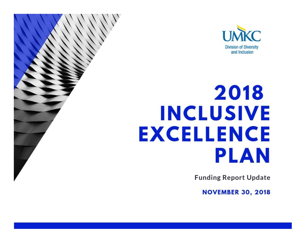

# 2018 **INCLUSIVE EXCELLENCE PLAN**

**Funding Report Update** 

**NOVEMBER 30, 2018**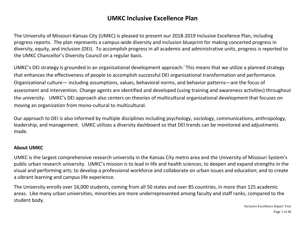# **UMKC Inclusive Excellence Plan**

The University of Missouri-Kansas City (UMKC) is pleased to present our 2018-2019 Inclusive Excellence Plan, including progress reports. The plan represents a campus-wide diversity and inclusion blueprint for making concerted progress in diversity, equity, and inclusion (DEI). To accomplish progress in all academic and administrative units, progress is reported to the UMKC Chancellor's Diversity Council on a regular basis.

UMKC's DEI strategy is grounded in an organizational development approach.<sup>i</sup> This means that we utilize a planned strategy that enhances the effectiveness of people to accomplish successful DEI organizational transformation and performance. Organizational culture— including assumptions, values, behavioral norms, and behavior patterns—are the focus of assessment and intervention. Change agents are identified and developed (using training and awareness activities) throughout the university. UMKC's DEI approach also centers on theories of multicultural organizational development that focuses on moving an organization from mono-cultural to multicultural.

Our approach to DEI is also informed by multiple disciplines including psychology, sociology, communications, anthropology, leadership, and management. UMKC utilizes a diversity dashboard so that DEI trends can be monitored and adjustments made.

#### **About UMKC**

UMKC is the largest comprehensive research university in the Kansas City metro area and the University of Missouri System's public urban research university. UMKC's mission is to lead in life and health sciences; to deepen and expand strengths in the visual and performing arts; to develop a professional workforce and collaborate on urban issues and education; and to create a vibrant learning and campus life experience.

The University enrolls over 16,000 students, coming from all 50 states and over 85 countries, in more than 125 academic areas. Like many urban universities, minorities are more underrepresented among faculty and staff ranks, compared to the student body.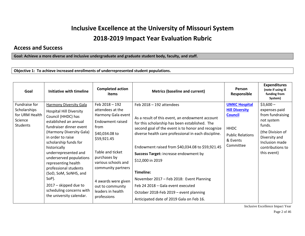# **Inclusive Excellence at the University of Missouri System 2018-2019 Impact Year Evaluation Rubric**

#### **Access and Success**

**Goal: Achieve a more diverse and inclusive undergraduate and graduate student body, faculty, and staff.** 

**Objective 1: To achieve increased enrollments of underrepresented student populations.**

| Goal                                                                          | Initiative with timeline                                                                                                                                                                                                                                                                                                                                                                                                                             | <b>Completed action</b><br>items                                                                                                                                                                                                                                                             | <b>Metrics (baseline and current)</b>                                                                                                                                                                                                                                                                                                                                                                                                                                                                                                              | Person<br>Responsible                                                                                                              | <b>Expenditures</b><br>(note if using IE<br>funding from<br>System)                                                                                              |
|-------------------------------------------------------------------------------|------------------------------------------------------------------------------------------------------------------------------------------------------------------------------------------------------------------------------------------------------------------------------------------------------------------------------------------------------------------------------------------------------------------------------------------------------|----------------------------------------------------------------------------------------------------------------------------------------------------------------------------------------------------------------------------------------------------------------------------------------------|----------------------------------------------------------------------------------------------------------------------------------------------------------------------------------------------------------------------------------------------------------------------------------------------------------------------------------------------------------------------------------------------------------------------------------------------------------------------------------------------------------------------------------------------------|------------------------------------------------------------------------------------------------------------------------------------|------------------------------------------------------------------------------------------------------------------------------------------------------------------|
| Fundraise for<br>Scholarships<br>for URM Health<br>Science<br><b>Students</b> | Harmony Diversity Gala<br><b>Hospital Hill Diversity</b><br>Council (HHDC) has<br>established an annual<br>fundraiser dinner event<br>(Harmony Diversity Gala)<br>in order to raise<br>scholarship funds for<br>historically<br>underrepresented and<br>underserved populations<br>representing health<br>professional students<br>(SoD, SoM, SoNHS, and<br>SoP).<br>$2017 -$ skipped due to<br>scheduling concerns with<br>the university calendar. | Feb 2018 - 192<br>attendees at the<br>Harmony Gala event<br><b>Endowment raised</b><br>from<br>\$40,034.08 to<br>\$59,921.45<br>Table and ticket<br>purchases by<br>various schools and<br>community partners<br>4 awards were given<br>out to community<br>leaders in health<br>professions | Feb $2018 - 192$ attendees<br>As a result of this event, an endowment account<br>for this scholarship has been established. The<br>second goal of the event is to honor and recognize<br>diverse health care professional in each discipline.<br>Endowment raised from \$40,034.08 to \$59,921.45<br>Success Target: increase endowment by<br>\$12,000 in 2019<br>Timeline:<br>November 2017 - Feb 2018: Event Planning<br>Feb 24 2018 - Gala event executed<br>October 2018-Feb 2019 - event planning<br>Anticipated date of 2019 Gala on Feb 16. | <b>UMKC Hospital</b><br><b>Hill Diversity</b><br><b>Council</b><br><b>HHDC</b><br><b>Public Relations</b><br>& Events<br>Committee | $$3,600-$<br>expenses paid<br>from fundraising<br>not system<br>funds.<br>(the Division of<br>Diversity and<br>Inclusion made<br>contributions to<br>this event) |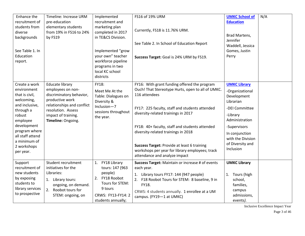| Enhance the<br>recruitment of<br>students from<br>diverse<br>backgrounds<br>See Table 1. In<br>Education<br>report.                                                                                               | Timeline: Increase URM<br>pre-education<br>elementary students<br>from 19% in FS16 to 24%<br>by FS19                                                                                        | Implemented<br>recruitment and<br>marketing plan<br>completed in 2017<br>in TE&CS Division.<br>Implemented "grow<br>your own" teacher<br>workforce pipeline<br>programs in two<br>local KC school<br>districts | FS16 of 19% URM<br>Currently, FS18 is 11.76% URM.<br>See Table 2. In School of Education Report<br>Success Target: Goal is 24% URM by FS19.                                                                                                                                                                                                                                                                                             | <b>UMKC School of</b><br><b>Education</b><br>Brad Martens,<br>Jennifer<br>Waddell, Jessica<br>Gomes, Justin<br>Perry                                                                                       | N/A |
|-------------------------------------------------------------------------------------------------------------------------------------------------------------------------------------------------------------------|---------------------------------------------------------------------------------------------------------------------------------------------------------------------------------------------|----------------------------------------------------------------------------------------------------------------------------------------------------------------------------------------------------------------|-----------------------------------------------------------------------------------------------------------------------------------------------------------------------------------------------------------------------------------------------------------------------------------------------------------------------------------------------------------------------------------------------------------------------------------------|------------------------------------------------------------------------------------------------------------------------------------------------------------------------------------------------------------|-----|
| Create a work<br>environment<br>that is civil,<br>welcoming,<br>and inclusive,<br>through a<br>robust<br>employee<br>development<br>program where<br>all staff attend<br>a minimum of<br>2 workshops<br>per year. | <b>Educate library</b><br>employees on non-<br>discriminatory behavior,<br>productive work<br>relationships and conflict<br>resolution. Assess<br>impact of training.<br>Timeline: Ongoing. | FY18:<br>Meet Me At the<br>Table: Dialogues on<br>Diversity &<br>Inclusion-7<br>sessions throughout<br>the year.                                                                                               | FY16: With grant funding offered the program<br>Ouch! That Stereotype Hurts, open to all of UMKC.<br>116 attendees<br>FY17: 225 faculty, staff and students attended<br>diversity-related trainings in 2017<br>FY18: 40+ faculty, staff and students attended<br>diversity-related trainings in 2018<br>Success Target: Provide at least 6 training<br>workshops per year for library employees; track<br>attendance and analyze impact | <b>UMKC Library</b><br>-Organizational<br>Development<br>Librarian<br>-DEI Committee<br>-Library<br>Administration<br>-Supervisors<br>In conjunction<br>with the Division<br>of Diversity and<br>Inclusion |     |
| Support<br>recruitment of<br>new students<br>by exposing<br>students to<br>library services<br>to prospective                                                                                                     | Student recruitment<br>initiatives for the<br>Libraries:<br>1. Library tours:<br>ongoing, on demand.<br>Roobot tours for<br>2.<br>STEM: ongoing, on                                         | FY18 Library<br>1.<br>tours: 147 (963<br>people)<br>2. FY18 Roobot<br>Tours for STEM:<br>9 tours<br>CRWS: FY13-FY14: 2<br>students annually;                                                                   | Success Target: Maintain or increase # of events<br>each year.<br>1. Library tours FY17: 144 (947 people)<br>2. F18 Roobot Tours for STEM: 8 baseline, 9 in<br>FY18.<br>CRWS: 4 students annually. 1 enrollee at a UM<br>campus. (FY19-1 at UMKC)                                                                                                                                                                                       | <b>UMKC Library</b><br>Tours (high<br>1.<br>school,<br>families,<br>campus<br>admissions,<br>events).                                                                                                      |     |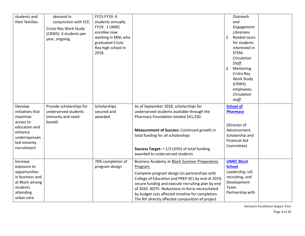| students and<br>their families.                                                                                                  | demand in<br>conjunction with SCE.<br>Cristo Rey Work Study<br>(CRWS): 4 students per<br>year, ongoing. | FY15-FY19: 4<br>students annually.<br>FY19: 1 UMKC<br>enrollee now<br>working in MNL who<br>graduated Cristo<br>Rey high school in<br>2018. |                                                                                                                                                                                                                                                                                                                                                                                | Outreach<br>and<br>Engagement<br>Librarians<br>Roobot tours<br>2.<br>for students<br>interested in<br>STEM.<br>Circulation<br>Staff.<br>3. Mentoring<br>Cristo Rey<br>Work Study<br>(CRWS)<br>employees.<br>Circulation<br>staff |
|----------------------------------------------------------------------------------------------------------------------------------|---------------------------------------------------------------------------------------------------------|---------------------------------------------------------------------------------------------------------------------------------------------|--------------------------------------------------------------------------------------------------------------------------------------------------------------------------------------------------------------------------------------------------------------------------------------------------------------------------------------------------------------------------------|----------------------------------------------------------------------------------------------------------------------------------------------------------------------------------------------------------------------------------|
| Develop<br>initiatives that<br>maximize<br>access to<br>education and<br>enhance<br>underrepresen<br>ted minority<br>recruitment | Provide scholarships for<br>underserved students<br>(minority and need-<br>based)                       | Scholarships<br>secured and<br>awarded                                                                                                      | As of September 2018, scholarships for<br>underserved students available through the<br>Pharmacy Foundation totaled \$41,250.<br>Measurement of Success: Continued growth in<br>total funding for all scholarships<br><b>Success Target:</b> $> 1/3$ (33%) of total funding<br>awarded to underserved students                                                                 | <b>School of</b><br><b>Pharmacy</b><br>(Director of<br>Advancement,<br>Scholarship and<br><b>Financial Aid</b><br>Committee)                                                                                                     |
| Increase<br>exposure to<br>opportunities<br>in business and<br>at Bloch among<br>students<br>attending<br>urban core             |                                                                                                         | 70% completion of<br>program design                                                                                                         | Business Academy at Bloch Summer Preparatory<br>Program.<br>Complete program design (in partnerships with<br>College of Education and PREP-KC) by end of 2019;<br>secure funding and execute recruiting plan by end<br>of 2020. NOTE: Reductions-in-force necessitated<br>by budget cuts affected timeline for completion.<br>The RIF directly affected composition of project | <b>UMKC Bloch</b><br><b>School</b><br>Leadership, UG<br>recruiting, and<br>Development<br>Team.<br>Partnership with                                                                                                              |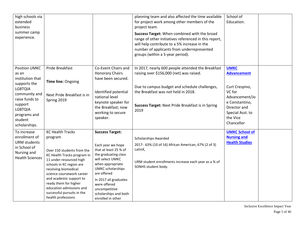| high schools via<br>extended<br>business<br>summer camp<br>experience.                                                                                                         |                                                                                                                                                                                                                                                                                                                                                 |                                                                                                                                                                                                                                                                                         | planning team and also affected the time available<br>for project work among other members of the<br>project team.<br>Success Target: When combined with the broad<br>range of other initiatives referenced in this report,<br>will help contribute to a 5% increase in the<br>number of applicants from underrepresented<br>groups (within a 5-year period). | School of<br>Education.                                                                                                                                         |  |
|--------------------------------------------------------------------------------------------------------------------------------------------------------------------------------|-------------------------------------------------------------------------------------------------------------------------------------------------------------------------------------------------------------------------------------------------------------------------------------------------------------------------------------------------|-----------------------------------------------------------------------------------------------------------------------------------------------------------------------------------------------------------------------------------------------------------------------------------------|---------------------------------------------------------------------------------------------------------------------------------------------------------------------------------------------------------------------------------------------------------------------------------------------------------------------------------------------------------------|-----------------------------------------------------------------------------------------------------------------------------------------------------------------|--|
| <b>Position UMKC</b><br>as an<br>institution that<br>supports the<br><b>LGBTQIA</b><br>community and<br>raise funds to<br>support<br><b>LGBTQIA</b><br>programs and<br>student | <b>Pride Breakfast</b><br>Time line: Ongoing<br>Next Pride Breakfast is in<br>Spring 2019                                                                                                                                                                                                                                                       | Co-Event Chairs and<br><b>Honorary Chairs</b><br>have been secured.<br>Identified potential<br>national level<br>keynote speaker for<br>the Breakfast; now<br>working to secure<br>speaker.                                                                                             | In 2017, nearly 600 people attended the Breakfast<br>raising over \$156,000 (net) was raised.<br>Due to campus budget and schedule challenges,<br>the Breakfast was not held in 2018.<br><b>Success Target: Next Pride Breakfast is in Spring</b><br>2019                                                                                                     | <b>UMKC</b><br><b>Advancement</b><br>Curt Crespino,<br>VC for<br>Advancement/Jo<br>e Constantino,<br>Director and<br>Special Asst. to<br>the Vice<br>Chancellor |  |
| scholarships.<br>To increase<br>enrollment of<br><b>URM</b> students<br>in School of<br>Nursing and<br><b>Health Sciences</b>                                                  | <b>KC Health Tracks</b><br>program<br>Over 150 students from the<br>KC Health Tracks program in<br>11 under-resourced high<br>schools in KC region are<br>receiving biomedical<br>science coursework career<br>and academic support to<br>ready them for higher<br>education admissions and<br>successful pursuits in the<br>health professions | <b>Success Target:</b><br>Each year we hope<br>that at least 25 % of<br>the graduating class<br>will select UMKC<br>when appropriate<br><b>UMKC</b> scholarships<br>are offered<br>In 2017 all graduates<br>were offered<br>uncompetitive<br>scholarships and both<br>enrolled in other | <b>Scholarships Awarded</b><br>2017: 63% (10 of 16) African American, 67% (2 of 3)<br>LatinX,<br>URM student enrollments increase each year as a % of<br>SONHS student body.                                                                                                                                                                                  | <b>UMKC School of</b><br><b>Nursing and</b><br><b>Health Studies</b>                                                                                            |  |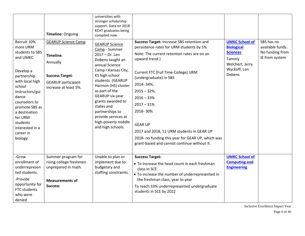| Recruit 10%<br>more URM<br>students to SBS<br>and UMKC<br>Develop a<br>partnership<br>with local high<br>school<br>instructors/gui<br>dance<br>counselors to<br>promote SBS as<br>a destination<br>for URM<br>students<br>interested in a<br>career in<br>biology. | Timeline: Ongoing<br><b>GEARUP Science Camp</b><br>Timeline:<br>Annually<br><b>Success Target:</b><br><b>GEARUP</b> participant<br>increase at least 5%. | universities with<br>stronger scholarship<br>support. Data on 2018<br>KCHT graduates being<br>compiled now.<br><b>GEARUP Science</b><br>Camp - Summer<br>$2017 - Dr. Len$<br>Dobens taught an<br>annual Science<br>Camp r Kansas City,<br>KS high school<br>students (GEARUP<br>Harmon (HS) cluster<br>as part of the<br>GEARUP six-year<br>grants awarded to<br>states and<br>partnerships to<br>provide services at<br>high-poverty middle<br>and high schools. | Success Target: Increase SBS retention and<br>persistence rates for URM students by 5%<br>Note: The current retention rates are on an<br>upward trend.)<br>Current FTC (Full Time College) URM<br>(undergraduate) in SBS<br>2014-34%,<br>$2015 - 32%$<br>$2016 - 33%$<br>$2017 - 31%$<br>2018-30%<br><b>GEAR UP</b><br>2017 and 2018, 11 URM students in GEAR UP<br>2018- no funding this year for GEAR UP, which was | <b>UMKC School of</b><br><b>Biological</b><br><b>Sciences</b><br>Tammy<br>Welchert, Jerry<br>Wyckoff, Len<br><b>Dobens</b> | SBS has no<br>available funds.<br>No funding from<br>IE from system |
|--------------------------------------------------------------------------------------------------------------------------------------------------------------------------------------------------------------------------------------------------------------------|----------------------------------------------------------------------------------------------------------------------------------------------------------|-------------------------------------------------------------------------------------------------------------------------------------------------------------------------------------------------------------------------------------------------------------------------------------------------------------------------------------------------------------------------------------------------------------------------------------------------------------------|-----------------------------------------------------------------------------------------------------------------------------------------------------------------------------------------------------------------------------------------------------------------------------------------------------------------------------------------------------------------------------------------------------------------------|----------------------------------------------------------------------------------------------------------------------------|---------------------------------------------------------------------|
|                                                                                                                                                                                                                                                                    |                                                                                                                                                          |                                                                                                                                                                                                                                                                                                                                                                                                                                                                   | grant-based and cannot continue without it.                                                                                                                                                                                                                                                                                                                                                                           |                                                                                                                            |                                                                     |
| -Grow<br>enrollment of<br>underrepresen<br>ted students.                                                                                                                                                                                                           | Summer program for<br>rising college freshmen<br>unprepared in math.                                                                                     | Unable to plan or<br>implement due to<br>budgetary and<br>staffing constraints.                                                                                                                                                                                                                                                                                                                                                                                   | <b>Success Target:</b><br>• To increase the head count in each freshman<br>class in SCE<br>• To increase the number of underrepresented in                                                                                                                                                                                                                                                                            | <b>UMKC School of</b><br><b>Computing and</b><br><b>Engineering</b>                                                        |                                                                     |
| -Provide<br>opportunity for<br>FTC students<br>who were<br>denied                                                                                                                                                                                                  | <b>Measurements of</b><br><b>Success</b>                                                                                                                 |                                                                                                                                                                                                                                                                                                                                                                                                                                                                   | the freshman class, year to year<br>To reach 33% underrepresented undergraduate<br>students in SCE by 2022                                                                                                                                                                                                                                                                                                            |                                                                                                                            |                                                                     |

Inclusive Excellence Impact Year Page 6 of 46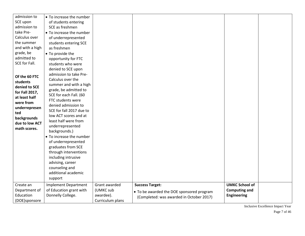| admission to<br>SCE upon<br>admission to<br>take Pre-<br>Calculus over<br>the summer<br>and with a high<br>grade, be<br>admitted to<br>SCE for Fall.<br>Of the 60 FTC<br>students<br>denied to SCE<br>for Fall 2017,<br>at least half<br>were from<br>underrepresen<br>ted<br>backgrounds<br>due to low ACT<br>math scores. | • To increase the number<br>of students entering<br>SCE as freshmen<br>• To increase the number<br>of underrepresented<br>students entering SCE<br>as freshmen<br>• To provide the<br>opportunity for FTC<br>students who were<br>denied to SCE upon<br>admission to take Pre-<br>Calculus over the<br>summer and with a high<br>grade, be admitted to<br>SCE for each Fall. (60<br>FTC students were<br>denied admission to<br>SCE for fall 2017 due to<br>low ACT scores and at<br>least half were from<br>underrepresented<br>backgrounds.)<br>• To increase the number<br>of underrepresented<br>graduates from SCE<br>through interventions<br>including intrusive<br>advising, career<br>counseling and<br>additional academic |                                                             |                                                                                                                 |                                                                     |  |
|-----------------------------------------------------------------------------------------------------------------------------------------------------------------------------------------------------------------------------------------------------------------------------------------------------------------------------|--------------------------------------------------------------------------------------------------------------------------------------------------------------------------------------------------------------------------------------------------------------------------------------------------------------------------------------------------------------------------------------------------------------------------------------------------------------------------------------------------------------------------------------------------------------------------------------------------------------------------------------------------------------------------------------------------------------------------------------|-------------------------------------------------------------|-----------------------------------------------------------------------------------------------------------------|---------------------------------------------------------------------|--|
| Create an<br>Department of<br>Education<br>(DOE)sponsore                                                                                                                                                                                                                                                                    | support<br><b>Implement Department</b><br>of Education grant with<br>Donnelly College.                                                                                                                                                                                                                                                                                                                                                                                                                                                                                                                                                                                                                                               | Grant awarded<br>(UMKC sub<br>awardee).<br>Curriculum plans | <b>Success Target:</b><br>• To be awarded the DOE sponsored program<br>(Completed: was awarded in October 2017) | <b>UMKC School of</b><br><b>Computing and</b><br><b>Engineering</b> |  |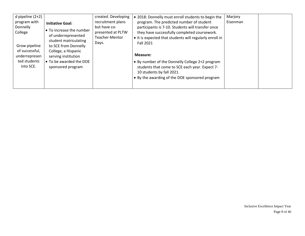| d pipeline $(2+2)$<br>program with<br>Donnelly<br>College<br>Grow pipeline<br>of successful,<br>underrepresen<br>ted students<br>into SCE. | <b>Initiative Goal:</b><br>• To increase the number<br>of underrepresented<br>student matriculating<br>to SCE from Donnelly<br>College, a Hispanic<br>serving institution<br>• To be awarded the DOE<br>sponsored program | created. Developing<br>recruitment plans<br>but have co-<br>presented at PLTW<br>Teacher-Mentor<br>Days. | . 2018: Donnelly must enroll students to begin the<br>program. The predicted number of student<br>participants is 7-10. Students will transfer once<br>they have successfully completed coursework.<br>• It is expected that students will regularly enroll in<br><b>Fall 2021</b><br>Measure:<br>• By number of the Donnelly College 2+2 program<br>students that come to SCE each year. Expect 7-<br>10 students by fall 2021.<br>• By the awarding of the DOE sponsored program | Marjory<br>Eisenman |  |
|--------------------------------------------------------------------------------------------------------------------------------------------|---------------------------------------------------------------------------------------------------------------------------------------------------------------------------------------------------------------------------|----------------------------------------------------------------------------------------------------------|------------------------------------------------------------------------------------------------------------------------------------------------------------------------------------------------------------------------------------------------------------------------------------------------------------------------------------------------------------------------------------------------------------------------------------------------------------------------------------|---------------------|--|
|                                                                                                                                            |                                                                                                                                                                                                                           |                                                                                                          |                                                                                                                                                                                                                                                                                                                                                                                                                                                                                    |                     |  |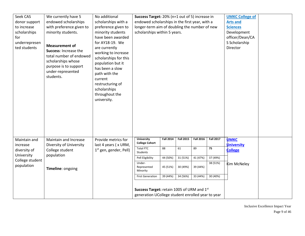| Seek CAS<br>donor support<br>to increase<br>scholarships<br>for<br>underrepresen<br>ted students | We currently have 5<br>endowed scholarships<br>with preference given to<br>minority students.<br><b>Measurement of</b><br>Success: Increase the<br>total number of endowed<br>scholarships whose<br>purpose is to support<br>under-represented<br>students. | No additional<br>scholarships with a<br>preference given to<br>minority students<br>have been awarded<br>for AY18-19. We<br>are currently<br>working to increase<br>scholarships for this<br>population but it<br>has been a slow<br>path with the<br>current<br>restructuring of<br>scholarships<br>throughout the<br>university. | Success Target: 20% (n=1 out of 5) increase in<br>endowed scholarships in the first year, with a<br>longer-term aim of doubling the number of new<br>scholarships within 5 years.                                                                                 |                                                            |                                                            |                                                            |                                                            | <b>UMKC College of</b><br><b>Arts and</b><br><b>Sciences</b><br>Development<br>officer/Dean/CA<br>S Scholarship<br>Director |  |
|--------------------------------------------------------------------------------------------------|-------------------------------------------------------------------------------------------------------------------------------------------------------------------------------------------------------------------------------------------------------------|------------------------------------------------------------------------------------------------------------------------------------------------------------------------------------------------------------------------------------------------------------------------------------------------------------------------------------|-------------------------------------------------------------------------------------------------------------------------------------------------------------------------------------------------------------------------------------------------------------------|------------------------------------------------------------|------------------------------------------------------------|------------------------------------------------------------|------------------------------------------------------------|-----------------------------------------------------------------------------------------------------------------------------|--|
| Maintain and<br>increase<br>diversity of<br>University<br>College student<br>population          | Maintain and Increase<br>Diversity of University<br>College student<br>population<br>Timeline: ongoing                                                                                                                                                      | Provide metrics for<br>last 4 years ( x URM,<br>$1st$ gen, gender, Pell)                                                                                                                                                                                                                                                           | <b>University</b><br><b>College Cohort</b><br><b>Total FTC</b><br>Students<br>Pell Eligibility<br>Under-<br>Represented<br>Minority<br><b>First Generation</b><br>Success Target: retain 1005 of URM and 1st<br>generation UCollege student enrolled year to year | <b>Fall 2014</b><br>88<br>44 (50%)<br>45 (51%)<br>39 (44%) | <b>Fall 2015</b><br>61<br>31 (51%)<br>30 (49%)<br>34 (56%) | <b>Fall 2016</b><br>89<br>41 (47%)<br>39 (44%)<br>33 (44%) | <b>Fall 2017</b><br>75<br>37 (49%)<br>38 (51%)<br>30 (40%) | <b>UMKC</b><br><b>University</b><br><b>College</b><br><b>Kim McNeley</b>                                                    |  |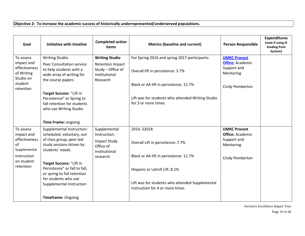#### **Objective 2: To increase the academic success of historically underrepresented/underserved populations.**

| Goal                                                                                        | Initiative with timeline                                                                                                                                                                                                                                  | <b>Completed action</b><br>items                                                                   | <b>Metrics (baseline and current)</b>                                                                                                                                                                    | <b>Person Responsible</b>                                                                     | <b>Expenditures</b><br>(note if using IE<br>funding from<br>System) |
|---------------------------------------------------------------------------------------------|-----------------------------------------------------------------------------------------------------------------------------------------------------------------------------------------------------------------------------------------------------------|----------------------------------------------------------------------------------------------------|----------------------------------------------------------------------------------------------------------------------------------------------------------------------------------------------------------|-----------------------------------------------------------------------------------------------|---------------------------------------------------------------------|
| To assess<br>impact and<br>effectiveness<br>of Writing<br>Studio on<br>student<br>retention | <b>Writing Studio:</b><br><b>Peer Consultation service</b><br>to help students with a<br>wide array of writing for<br>the course papers<br>Target Success: "Lift in<br>Persistence" or Spring to<br>fall retention for students<br>who use Writing Studio | <b>Writing Studio</b><br><b>Retention Impact</b><br>Study - Office of<br>Institutional<br>Research | For Spring 2016 and spring 2017 participants:<br>Overall lift in persistence: 3.7%<br>Black or AA lift in persistence: 11.7%<br>Lift was for students who attended Writing Studio<br>for 3 or more times | <b>UMKC Provost</b><br><b>Office: Academic</b><br>Support and<br>Mentoring<br>Cindy Pemberton |                                                                     |
|                                                                                             | Time Frame: ongoing                                                                                                                                                                                                                                       |                                                                                                    |                                                                                                                                                                                                          |                                                                                               |                                                                     |
| To assess<br>impact and                                                                     | Supplemental Instruction:<br>scheduled, voluntary, out                                                                                                                                                                                                    | Supplemental<br>Instruction:                                                                       | 2016-S2018                                                                                                                                                                                               | <b>UMKC Provost</b><br><b>Office: Academic</b>                                                |                                                                     |
| effectiveness<br>of<br>Supplemental                                                         | of class group, peer-led<br>study sessions driven by<br>students' needs.                                                                                                                                                                                  | <b>Impact Study</b><br>Office of<br>Institutional                                                  | Overall Lift in persistence: 7.7%                                                                                                                                                                        | Support and<br>Mentoring                                                                      |                                                                     |
| Instruction<br>on student                                                                   |                                                                                                                                                                                                                                                           | research                                                                                           | Black or AA lift in persistence: 11.7%                                                                                                                                                                   | Cindy Pemberton                                                                               |                                                                     |
| retention                                                                                   | Target Success: "Lift in<br>Persistence" or fall to fall,<br>or spring to fall retention<br>for students who use<br>Supplemental Instruction                                                                                                              |                                                                                                    | Hispanic or LatinX Lift: 8.1%<br>Lift was for students who attended Supplemental<br>Instruction for 4 or more times                                                                                      |                                                                                               |                                                                     |
|                                                                                             | Timeframe: Ongoing                                                                                                                                                                                                                                        |                                                                                                    |                                                                                                                                                                                                          |                                                                                               |                                                                     |

Inclusive Excellence Impact Year Page 10 of 46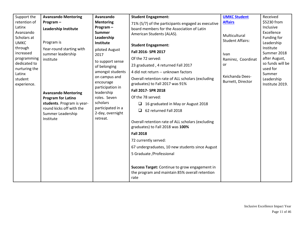| Support the                   | <b>Avanzando Mentoring</b>                    | Avanzando                             | <b>Student Engagement:</b>                         | <b>UMKC Student</b>                  | Received                     |
|-------------------------------|-----------------------------------------------|---------------------------------------|----------------------------------------------------|--------------------------------------|------------------------------|
| retention of                  | Program-                                      | <b>Mentoring</b>                      | 71% (5/7) of the participants engaged as executive | <b>Affairs</b>                       | \$5230 from                  |
| Latinx                        | <b>Leadership Institute</b>                   | Program-                              | board members for the Association of Latin         |                                      | Inclusive                    |
| Avanzando                     |                                               | <b>Summer</b>                         | American Students (ALAS).                          | Multicultural                        | Excellence                   |
| Scholars at                   |                                               | Leadership                            |                                                    | <b>Student Affairs:</b>              | Funding for                  |
| <b>UMKC</b>                   | Program is                                    | Institute                             | <b>Student Engagement:</b>                         |                                      | Leadership<br>Institute      |
| through<br>increased          | Year-round starting with<br>summer leadership | piloted August<br>2017                | Fall 2016- SPR 2017                                | Ivan                                 | Summer 2018                  |
| programming                   | institute                                     | to support sense                      | Of the 72 served:                                  | Ramirez, Coordinat                   | after August,                |
| dedicated to<br>nurturing the |                                               | of belonging                          | 23 graduated, 4 returned Fall 2017                 | or                                   | so funds will be<br>used for |
| Latinx                        |                                               | amongst students                      | 4 did not return -- unknown factors                |                                      | Summer                       |
| student                       |                                               | on campus and                         | Overall retention rate of ALL scholars (excluding  | Keichanda Dees-<br>Burnett, Director | Leadership                   |
| experience.                   |                                               | encourage<br>participation in         | graduates) to Fall 2017 was 91%                    |                                      | Institute 2019.              |
|                               | <b>Avanzando Mentoring</b>                    | leadership                            | Fall 2017- SPR 2018                                |                                      |                              |
|                               | <b>Program for Latino</b>                     | roles. Seven                          | Of the 78 served:                                  |                                      |                              |
|                               | students. Program is year-                    | scholars                              | 16 graduated in May or August 2018                 |                                      |                              |
|                               | round kicks off with the                      | participated in a<br>2-day, overnight | 62 returned Fall 2018<br>□                         |                                      |                              |
|                               | Summer Leadership<br>Institute                | retreat.                              |                                                    |                                      |                              |
|                               |                                               |                                       | Overall retention rate of ALL scholars (excluding  |                                      |                              |
|                               |                                               |                                       | graduates) to Fall 2018 was 100%                   |                                      |                              |
|                               |                                               |                                       | <b>Fall 2018</b>                                   |                                      |                              |
|                               |                                               |                                       | 72 currently served:                               |                                      |                              |
|                               |                                               |                                       | 67 undergraduates, 10 new students since August    |                                      |                              |
|                               |                                               |                                       | 5 Graduate / Professional                          |                                      |                              |
|                               |                                               |                                       |                                                    |                                      |                              |
|                               |                                               |                                       | Success Target: Continue to grow engagement in     |                                      |                              |
|                               |                                               |                                       | the program and maintain 85% overall retention     |                                      |                              |
|                               |                                               |                                       | rate                                               |                                      |                              |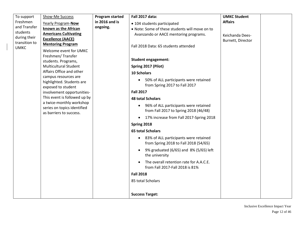| To support<br>Freshmen<br>and Transfer<br>students<br>during their<br>transition to<br><b>UMKC</b> | Show-Me Success<br>Yearly Program-Now<br>known as the African<br><b>Americans Cultivating</b><br><b>Excellence (AACE)</b><br><b>Mentoring Program</b><br>Welcome event for UMKC<br>Freshmen/Transfer<br>students. Programs,<br><b>Multicultural Student</b> | <b>Program started</b><br>in 2016 and is<br>ongoing. | <b>Fall 2017 data:</b><br>• 104 students participated<br>. Note: Some of these students will move on to<br>Avanzando or AACE mentoring programs.<br>Fall 2018 Data: 65 students attended<br><b>Student engagement:</b><br>Spring 2017 (Pilot)                                                                                                                                                                                                                                                                                                                                                                                                 | <b>UMKC Student</b><br><b>Affairs</b><br>Keichanda Dees-<br>Burnett, Director |
|----------------------------------------------------------------------------------------------------|-------------------------------------------------------------------------------------------------------------------------------------------------------------------------------------------------------------------------------------------------------------|------------------------------------------------------|-----------------------------------------------------------------------------------------------------------------------------------------------------------------------------------------------------------------------------------------------------------------------------------------------------------------------------------------------------------------------------------------------------------------------------------------------------------------------------------------------------------------------------------------------------------------------------------------------------------------------------------------------|-------------------------------------------------------------------------------|
|                                                                                                    | Affairs Office and other<br>campus resources are<br>highlighted. Students are<br>exposed to student<br>involvement opportunities-<br>This event is followed up by<br>a twice-monthly workshop<br>series on topics identified<br>as barriers to success.     |                                                      | <b>10 Scholars</b><br>50% of ALL participants were retained<br>from Spring 2017 to Fall 2017<br><b>Fall 2017</b><br><b>48 total Scholars</b><br>96% of ALL participants were retained<br>from Fall 2017 to Spring 2018 (46/48)<br>17% increase from Fall 2017-Spring 2018<br>$\bullet$<br>Spring 2018<br><b>65 total Scholars</b><br>83% of ALL participants were retained<br>$\bullet$<br>from Spring 2018 to Fall 2018 (54/65)<br>9% graduated (6/65) and 8% (5/65) left<br>the university<br>The overall retention rate for A.A.C.E.<br>from Fall 2017-Fall 2018 is 81%<br><b>Fall 2018</b><br>85 total Scholars<br><b>Success Target:</b> |                                                                               |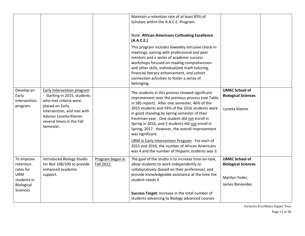|                                                                                                    |                                                                                                                                                                                                                       |                                | Maintain a retention rate of at least 85% of<br>Scholars within the A.A.C.E. Program.<br><b>Note: African Americans Cultivating Excellence</b><br>(A.A.C.E.)<br>This program includes biweekly intrusive check-in<br>meetings; pairing with professional and peer<br>mentors and a series of academic success<br>workshops focused on reading comprehension<br>and other skills, individualized math tutoring,<br>financial literacy enhancement, and cohort<br>connection activities to foster a sense of<br>belonging.                                                                    |                                                                                          |  |
|----------------------------------------------------------------------------------------------------|-----------------------------------------------------------------------------------------------------------------------------------------------------------------------------------------------------------------------|--------------------------------|---------------------------------------------------------------------------------------------------------------------------------------------------------------------------------------------------------------------------------------------------------------------------------------------------------------------------------------------------------------------------------------------------------------------------------------------------------------------------------------------------------------------------------------------------------------------------------------------|------------------------------------------------------------------------------------------|--|
| Develop an<br>Early<br>Intervention<br>program.                                                    | <b>Early Intervention program</b><br>- Starting in 2015, students<br>who met criteria were<br>placed on Early<br>Intervention, and met with<br><b>Advisor Loretta Klamm</b><br>several times in the Fall<br>Semester. |                                | The students in this process showed significant<br>improvement over the previous process (see Table<br>in SBS report). After one semester, 46% of the<br>2015 students and 54% of the 2016 students were<br>in good standing by Spring semester of their<br>freshman year. One student did not enroll in<br>Spring in 2016, and 3 students did not enroll in<br>Spring, 2017. However, the overall improvement<br>was significant.<br>URM in Early Intervention Program - For each of<br>2015 and 2016, the number of African Americans<br>was 4 and the number of Hispanic students was 3. | <b>UMKC School of</b><br><b>Biological Sciences</b><br>Loretta Klamm                     |  |
| To improve<br>retention<br>rates for<br><b>URM</b><br>students in<br>Biological<br><b>Sciences</b> | Introduced Biology Studio<br>for Biol 108/109 to provide<br>enhanced academic<br>support.                                                                                                                             | Program began in<br>Fall 2012. | The goal of the studio is to increase time-on-task,<br>allow students to work independently or<br>collaboratively (based on their preference), and<br>provide knowledgeable assistance at the time the<br>student needs it<br>Success Target: Increase in the total number of<br>students advancing to Biology advanced courses                                                                                                                                                                                                                                                             | <b>UMKC School of</b><br><b>Biological Sciences</b><br>Marilyn Yoder,<br>James Benevides |  |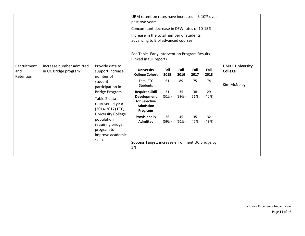|                                 |                                                  |                                                                                                                                                                                                                                                                              | URM retention rates have increased $\sim$ 5-10% over<br>past two years.<br>Concomitant decrease in DFW rates of 10-15%.<br>Increase in the total number of students<br>advancing to Biol advanced courses<br>See Table- Early Intervention Program Results<br>(linked in full report) |                                                  |                                                  |                                                  |                                                  |                                                         |  |
|---------------------------------|--------------------------------------------------|------------------------------------------------------------------------------------------------------------------------------------------------------------------------------------------------------------------------------------------------------------------------------|---------------------------------------------------------------------------------------------------------------------------------------------------------------------------------------------------------------------------------------------------------------------------------------|--------------------------------------------------|--------------------------------------------------|--------------------------------------------------|--------------------------------------------------|---------------------------------------------------------|--|
| Recruitment<br>and<br>Retention | Increase number admitted<br>in UC Bridge program | Provide data to<br>support increase<br>number of<br>student<br>participation in<br><b>Bridge Program</b><br>Table 2 data<br>represent 4 year<br>(2014-2017) FTC,<br><b>University College</b><br>population<br>requiring bridge<br>program to<br>improve academic<br>skills. | <b>University</b><br><b>College Cohort</b><br><b>Total FTC</b><br>Students<br><b>Required Skill</b><br><b>Development</b><br>for Selective<br><b>Admission</b><br>Programs<br>Provisionally<br><b>Admitted</b><br>Success Target: increase enrollment UC Bridge by<br>5%              | Fall<br>2015<br>61<br>31<br>(51%)<br>36<br>(59%) | Fall<br>2016<br>89<br>35<br>(39%)<br>45<br>(51%) | Fall<br>2017<br>75<br>38<br>(51%)<br>35<br>(47%) | Fall<br>2018<br>74<br>29<br>(40%)<br>32<br>(43%) | <b>UMKC University</b><br><b>College</b><br>Kim McNeley |  |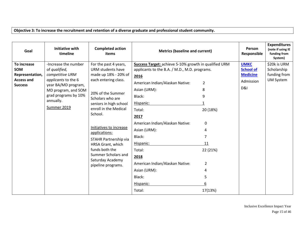#### **Objective 3: To increase the recruitment and retention of a diverse graduate and professional student community.**

| Goal                                                                                | <b>Initiative with</b><br>timeline                                                                                                                                                | <b>Completed action</b><br>items                                                                                                                                                                                                                                                                                                                                               | <b>Metrics (baseline and current)</b>                                                                                                                                                                                                                                                                                                                                                      |                                                                                                                   | Person<br>Responsible                                                      | <b>Expenditures</b><br>(note if using IE<br>funding from<br>System) |
|-------------------------------------------------------------------------------------|-----------------------------------------------------------------------------------------------------------------------------------------------------------------------------------|--------------------------------------------------------------------------------------------------------------------------------------------------------------------------------------------------------------------------------------------------------------------------------------------------------------------------------------------------------------------------------|--------------------------------------------------------------------------------------------------------------------------------------------------------------------------------------------------------------------------------------------------------------------------------------------------------------------------------------------------------------------------------------------|-------------------------------------------------------------------------------------------------------------------|----------------------------------------------------------------------------|---------------------------------------------------------------------|
| To increase<br><b>SOM</b><br>Representation,<br><b>Access and</b><br><b>Success</b> | -Increase the number<br>of qualified,<br>competitive URM<br>applicants to the 6<br>year BA/MD program,<br>MD program, and SOM<br>grad programs by 10%<br>annually.<br>Summer 2019 | For the past 4 years,<br>URM students have<br>made up 18% - 20% of<br>each entering class.<br>20% of the Summer<br>Scholars who are<br>seniors in high school<br>enroll in the Medical<br>School.<br>Initiatives to increase<br>applications:<br>STAHR Partnership via<br>HRSA Grant, which<br>funds both the<br>Summer Scholars and<br>Saturday Academy<br>pipeline programs. | Success Target: achieve 5-10% growth in qualified URM<br>applicants to the B.A. / M.D., M.D. programs.<br>2016<br>American Indian/Alaskan Native:<br>Asian (URM):<br>Black:<br>Hispanic:<br>Total:<br>2017<br>American Indian/Alaskan Native:<br>Asian (URM):<br>Black:<br>Hispanic:<br>Total:<br>2018<br>American Indian/Alaskan Native:<br>Asian (URM):<br>Black:<br>Hispanic:<br>Total: | $\overline{2}$<br>8<br>9<br>20 (18%)<br>0<br>4<br>7<br>11<br>22 (21%)<br>$\overline{2}$<br>4<br>5<br>6<br>17(13%) | <b>UMKC</b><br>School of<br><b>Medicine</b><br>Admission<br><b>D&amp;I</b> | \$20k is URM<br>Scholarship<br>funding from<br><b>UM System</b>     |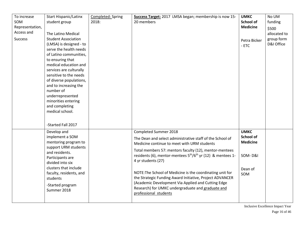| To increase     | <b>Start Hispanic/Latinx</b>    | Completed: Spring | Success Target: 2017 LMSA began; membership is now 15-                              | <b>UMKC</b>      | No UM        |
|-----------------|---------------------------------|-------------------|-------------------------------------------------------------------------------------|------------------|--------------|
| SOM             | student group                   | 2018:             | 20 members                                                                          | <b>School of</b> | funding      |
| Representation, |                                 |                   |                                                                                     | <b>Medicine</b>  | \$500        |
| Access and      | The Latino Medical              |                   |                                                                                     |                  | allocated to |
| <b>Success</b>  | <b>Student Association</b>      |                   |                                                                                     | Petra Bicker     | group form   |
|                 | (LMSA) is designed - to         |                   |                                                                                     | $-ETC$           | D&I Office   |
|                 | serve the health needs          |                   |                                                                                     |                  |              |
|                 | of Latino communities,          |                   |                                                                                     |                  |              |
|                 | to ensuring that                |                   |                                                                                     |                  |              |
|                 | medical education and           |                   |                                                                                     |                  |              |
|                 | services are culturally         |                   |                                                                                     |                  |              |
|                 | sensitive to the needs          |                   |                                                                                     |                  |              |
|                 | of diverse populations,         |                   |                                                                                     |                  |              |
|                 | and to increasing the           |                   |                                                                                     |                  |              |
|                 | number of                       |                   |                                                                                     |                  |              |
|                 | underrepresented                |                   |                                                                                     |                  |              |
|                 | minorities entering             |                   |                                                                                     |                  |              |
|                 | and completing                  |                   |                                                                                     |                  |              |
|                 | medical school.                 |                   |                                                                                     |                  |              |
|                 |                                 |                   |                                                                                     |                  |              |
|                 | -Started Fall 2017              |                   |                                                                                     |                  |              |
|                 | Develop and                     |                   | Completed Summer 2018                                                               | <b>UMKC</b>      |              |
|                 | implement a SOM                 |                   |                                                                                     | <b>School of</b> |              |
|                 | mentoring program to            |                   | The Dean and select administrative staff of the School of                           | <b>Medicine</b>  |              |
|                 | support URM students            |                   | Medicine continue to meet with URM students                                         |                  |              |
|                 | and residents.                  |                   | Total members 57: mentors faculty (12), mentor-mentees                              |                  |              |
|                 | Participants are                |                   | residents (6), mentor-mentees 5 <sup>th</sup> /6 <sup>th</sup> yr (12) & mentees 1- | SOM-D&I          |              |
|                 | divided into six                |                   | 4 yr students (27)                                                                  |                  |              |
|                 | clusters that include           |                   |                                                                                     | Dean of          |              |
|                 | faculty, residents, and         |                   | NOTE: The School of Medicine is the coordinating unit for                           | SOM              |              |
|                 | students                        |                   | the Strategic Funding Award Initiative, Project ADVANCER                            |                  |              |
|                 |                                 |                   | (Academic Development Via Applied and Cutting Edge                                  |                  |              |
|                 | -Started program<br>Summer 2018 |                   | Research) for UMKC undergraduate and graduate and                                   |                  |              |
|                 |                                 |                   | professional students                                                               |                  |              |
|                 |                                 |                   |                                                                                     |                  |              |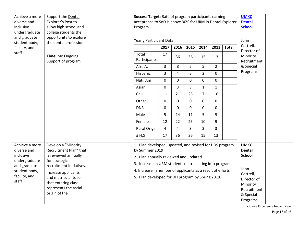| Achieve a more                                                                               | Support the Dental                                                                                |                                | Success Target: Rate of program participants earning                                                                                                                           |                |             |              |                |                |                                               | <b>UMKC</b>                                                                                         |  |
|----------------------------------------------------------------------------------------------|---------------------------------------------------------------------------------------------------|--------------------------------|--------------------------------------------------------------------------------------------------------------------------------------------------------------------------------|----------------|-------------|--------------|----------------|----------------|-----------------------------------------------|-----------------------------------------------------------------------------------------------------|--|
| diverse and                                                                                  | Explorer's Post to                                                                                |                                | acceptance to SoD is above 30% for URM in Dental Explorer                                                                                                                      |                |             |              |                |                |                                               | <b>Dental</b>                                                                                       |  |
| inclusive                                                                                    | allow high school and                                                                             |                                | Program.                                                                                                                                                                       |                |             |              |                |                |                                               | <b>School</b>                                                                                       |  |
| undergraduate                                                                                | college students the                                                                              |                                |                                                                                                                                                                                |                |             |              |                |                |                                               |                                                                                                     |  |
| and graduate<br>student body,                                                                | opportunity to explore<br>the dental profession.                                                  | <b>Yearly Participant Data</b> |                                                                                                                                                                                |                |             |              | John           |                |                                               |                                                                                                     |  |
| faculty, and                                                                                 |                                                                                                   |                                | 2017                                                                                                                                                                           | 2016           | 2015        | 2014         | 2013           | <b>Total</b>   | Cottrell,                                     |                                                                                                     |  |
| staff                                                                                        | Timeline: Ongoing<br>Support of program                                                           |                                | Total<br>Participants                                                                                                                                                          | 17             | 36          | 36           | 15             | 13             |                                               | Director of<br>Minority<br>Recruitment                                                              |  |
|                                                                                              |                                                                                                   |                                | Afri. A.                                                                                                                                                                       | $\mathbf{3}$   | 8           | 5            | 5              | $\overline{2}$ |                                               | & Special                                                                                           |  |
|                                                                                              |                                                                                                   |                                | Hispanic                                                                                                                                                                       | $\overline{3}$ | 4           | 3            | $\overline{2}$ | $\pmb{0}$      |                                               | Programs                                                                                            |  |
|                                                                                              |                                                                                                   |                                | Nati, Am                                                                                                                                                                       | $\mathbf 0$    | $\mathbf 0$ | $\mathbf 0$  | 0              | $\pmb{0}$      |                                               |                                                                                                     |  |
|                                                                                              |                                                                                                   |                                | Asian                                                                                                                                                                          | $\mathbf 0$    | 3           | 3            | $\mathbf{1}$   | $\mathbf{1}$   |                                               |                                                                                                     |  |
|                                                                                              |                                                                                                   |                                | Cau                                                                                                                                                                            | 11             | 21          | 25           | $\overline{7}$ | 10             |                                               |                                                                                                     |  |
|                                                                                              |                                                                                                   |                                | Other                                                                                                                                                                          | 0              | $\mathbf 0$ | $\mathbf{0}$ | 0              | $\mathbf 0$    |                                               |                                                                                                     |  |
|                                                                                              |                                                                                                   |                                | <b>DNR</b>                                                                                                                                                                     | $\mathbf 0$    | 0           | $\mathbf{0}$ | 0              | $\mathbf 0$    |                                               |                                                                                                     |  |
|                                                                                              |                                                                                                   |                                | Male                                                                                                                                                                           | 5              | 14          | 11           | 5              | 5              |                                               |                                                                                                     |  |
|                                                                                              |                                                                                                   |                                | Female                                                                                                                                                                         | 12             | 22          | 25           | 10             | 9              |                                               |                                                                                                     |  |
|                                                                                              |                                                                                                   |                                | <b>Rural Origin</b>                                                                                                                                                            | 4              | 4           | 3            | $\overline{3}$ | $\overline{3}$ |                                               |                                                                                                     |  |
|                                                                                              |                                                                                                   |                                | # H.S                                                                                                                                                                          | 17             | 36          | 36           | 15             | 13             |                                               |                                                                                                     |  |
| Achieve a more<br>diverse and<br>inclusive<br>undergraduate<br>for strategic<br>and graduate | Develop a "Minority<br>Recruitment Plan" that<br>is reviewed annually<br>recruitment initiatives. |                                | 1. Plan developed, updated, and revised for DDS program<br>by Summer 2019<br>2. Plan annually reviewed and updated.<br>3. Increase in URM students matriculating into program. |                |             |              |                |                | <b>UMKC</b><br><b>Dental</b><br><b>School</b> |                                                                                                     |  |
| student body,                                                                                | Increase applicants                                                                               |                                | 4. Increase in number of applicants as a result of efforts                                                                                                                     |                |             |              |                |                |                                               | John<br>Cottrell,                                                                                   |  |
| faculty, and                                                                                 | and matriculants so                                                                               |                                | 5. Plan developed for DH program by Spring 2019.                                                                                                                               |                |             |              |                |                |                                               | Director of                                                                                         |  |
| staff                                                                                        | that entering class                                                                               |                                |                                                                                                                                                                                |                |             |              |                |                |                                               | Minority                                                                                            |  |
|                                                                                              | represents the racial                                                                             |                                |                                                                                                                                                                                |                |             |              |                |                |                                               | Recruitment                                                                                         |  |
|                                                                                              | origin of the                                                                                     |                                |                                                                                                                                                                                |                |             |              |                |                |                                               | & Special                                                                                           |  |
|                                                                                              |                                                                                                   |                                |                                                                                                                                                                                |                |             |              |                |                |                                               | Programs<br>$\mathbf{r}$ , $\mathbf{r}$ , $\mathbf{r}$ , $\mathbf{r}$ , $\mathbf{r}$ , $\mathbf{r}$ |  |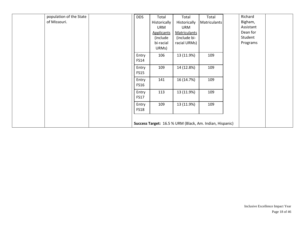| population of the State<br>of Missouri. | <b>DDS</b>           | Total<br>Historically<br><b>URM</b><br><b>Applicants</b><br>(include<br>bi-racial<br>URMs) | Total<br>Historically<br><b>URM</b><br><b>Matriculants</b><br>(include bi-<br>racial URMs) | Total<br><b>Matriculants</b>                             | Richard<br>Bigham,<br>Assistant<br>Dean for<br>Student<br>Programs |
|-----------------------------------------|----------------------|--------------------------------------------------------------------------------------------|--------------------------------------------------------------------------------------------|----------------------------------------------------------|--------------------------------------------------------------------|
|                                         | Entry<br><b>FS14</b> | 106                                                                                        | 13 (11.9%)                                                                                 | 109                                                      |                                                                    |
|                                         | Entry<br><b>FS15</b> | 109                                                                                        | 14 (12.8%)                                                                                 | 109                                                      |                                                                    |
|                                         | Entry<br><b>FS16</b> | 141                                                                                        | 16 (14.7%)                                                                                 | 109                                                      |                                                                    |
|                                         | Entry<br><b>FS17</b> | 113                                                                                        | 13 (11.9%)                                                                                 | 109                                                      |                                                                    |
|                                         | Entry<br><b>FS18</b> | 109                                                                                        | 13 (11.9%)                                                                                 | 109                                                      |                                                                    |
|                                         |                      |                                                                                            |                                                                                            | Success Target: 16.5 % URM (Black, Am. Indian, Hispanic) |                                                                    |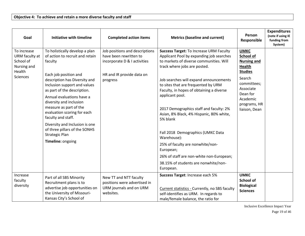| Goal                                                                            | <b>Initiative with timeline</b>                                                                                                                                                                                                                                                                                                                                                                                                                               | <b>Completed action items</b>                                                                                                     | <b>Metrics (baseline and current)</b>                                                                                                                                                                                                                                                                                                                                                                                                                                                                                                                                                                                          | Person<br>Responsible                                                                                                                                                            | <b>Expenditures</b><br>(note if using IE<br>funding from<br>System) |
|---------------------------------------------------------------------------------|---------------------------------------------------------------------------------------------------------------------------------------------------------------------------------------------------------------------------------------------------------------------------------------------------------------------------------------------------------------------------------------------------------------------------------------------------------------|-----------------------------------------------------------------------------------------------------------------------------------|--------------------------------------------------------------------------------------------------------------------------------------------------------------------------------------------------------------------------------------------------------------------------------------------------------------------------------------------------------------------------------------------------------------------------------------------------------------------------------------------------------------------------------------------------------------------------------------------------------------------------------|----------------------------------------------------------------------------------------------------------------------------------------------------------------------------------|---------------------------------------------------------------------|
| To increase<br>URM faculty at<br>School of<br>Nursing and<br>Health<br>Sciences | To holistically develop a plan<br>of action to recruit and retain<br>faculty<br>Each job position and<br>description has Diversity and<br>Inclusion support and values<br>as part of the description.<br>Annual evaluations have a<br>diversity and inclusion<br>measure as part of the<br>evaluation scoring for each<br>faculty and staff.<br>Diversity and Inclusion is one<br>of three pillars of the SONHS<br><b>Strategic Plan</b><br>Timeline: ongoing | Job positions and descriptions<br>have been rewritten to<br>incorporate D & I activities<br>HR and IR provide data on<br>progress | <b>Success Target: To Increase URM Faculty</b><br>Applicant Pool by expanding job searches<br>to markets of diverse communities. Will<br>track where jobs are posted.<br>Job searches will expand announcements<br>to sites that are frequented by URM<br>Faculty, in hopes of obtaining a diverse<br>applicant pool.<br>2017 Demographics staff and faculty: 2%<br>Asian, 8% Black, 4% Hispanic, 80% white,<br>5% blank<br>Fall 2018 Demographics (UMKC Data<br>Warehouse):<br>25% of faculty are nonwhite/non-<br>European;<br>26% of staff are non-white non-European;<br>38.15% of students are nonwhite/non-<br>European. | <b>UMKC</b><br>School of<br><b>Nursing and</b><br><b>Health</b><br><b>Studies</b><br>Search<br>committees;<br>Associate<br>Dean for<br>Academic<br>programs, HR<br>liaison, Dean |                                                                     |
| Increase<br>faculty<br>diversity                                                | Part of all SBS Minority<br>Recruitment plans is to<br>advertise job opportunities on<br>the University of Missouri-<br>Kansas City's School of                                                                                                                                                                                                                                                                                                               | New TT and NTT faculty<br>positions were advertised in<br>URM journals and on URM<br>websites.                                    | Success Target: Increase each 5%<br>Current statistics - Currently, no SBS faculty<br>self-identifies as URM. In regards to<br>male/female balance, the ratio for                                                                                                                                                                                                                                                                                                                                                                                                                                                              | <b>UMKC</b><br><b>School of</b><br><b>Biological</b><br><b>Sciences</b>                                                                                                          |                                                                     |

Inclusive Excellence Impact Year Page 19 of 46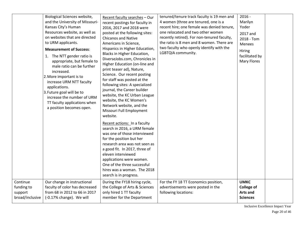| Our change in instructional<br>For the FY 18 TT Economics position,<br><b>UMKC</b><br>During the FY18 hiring cycle,<br>faculty of color has decreased<br>the College of Arts & Sciences<br>advertisements were posted in the<br><b>College of</b><br>only hired 1 TT faculty<br><b>Arts and</b><br>from 68 in 2012 to 66 in 2017<br>following locations:<br>(-0.17% change). We will<br>member for the Department<br><b>Sciences</b> |                                                      | Biological Sciences website,<br>and the University of Missouri-<br>Kansas City's Human<br>Resources website, as well as<br>on websites that are directed<br>to URM applicants.<br><b>Measurement of Success:</b><br>1. The NTT gender ratio is<br>appropriate, but female to<br>male ratio can be further<br>increased.<br>2. More important is to<br>increase URM NTT faculty<br>applications.<br>3. Future goal will be to<br>increase the number of URM<br>TT faculty applications when<br>a position becomes open. | Recent faculty searches - Our<br>recent postings for faculty in<br>2016, 2017 and 2018 were<br>posted at the following sites:<br><b>Chicanos and Native</b><br>Americans in Science,<br>Hispanics in Higher Education,<br>Blacks in Higher Education,<br>DiverseJobs.com, Chronicles in<br>Higher Education (on-line and<br>print teaser ad), Nature,<br>Science. Our recent posting<br>for staff was posted at the<br>following sites: A specialized<br>journal, the Career builder<br>website, the KC Urban League<br>website, the KC Women's<br>Network website, and the<br>Missouri Full Employment<br>website.<br>Recent actions: In a faculty<br>search in 2016, a URM female<br>was one of those interviewed<br>for the position but her<br>research area was not seen as<br>a good fit. In 2017, three of<br>eleven interviewed<br>applications were women.<br>One of the three successful<br>hires was a woman. The 2018<br>search is in progress. | tenured/tenure track faculty is 19 men and<br>4 women (three are tenured, one is a<br>recent hire; one female was denied tenure,<br>one relocated and two other women<br>recently retired). For non-tenured faculty,<br>the ratio is 8 men and 8 women. There are<br>two faculty who openly identify with the<br>LGBTQIA community. | $2016 -$<br>Marilyn<br>Yoder<br>2017 and<br>2018 - Tom<br>Menees<br><b>Hiring</b><br>facilitated by<br>Mary Flores |  |
|--------------------------------------------------------------------------------------------------------------------------------------------------------------------------------------------------------------------------------------------------------------------------------------------------------------------------------------------------------------------------------------------------------------------------------------|------------------------------------------------------|------------------------------------------------------------------------------------------------------------------------------------------------------------------------------------------------------------------------------------------------------------------------------------------------------------------------------------------------------------------------------------------------------------------------------------------------------------------------------------------------------------------------|-------------------------------------------------------------------------------------------------------------------------------------------------------------------------------------------------------------------------------------------------------------------------------------------------------------------------------------------------------------------------------------------------------------------------------------------------------------------------------------------------------------------------------------------------------------------------------------------------------------------------------------------------------------------------------------------------------------------------------------------------------------------------------------------------------------------------------------------------------------------------------------------------------------------------------------------------------------|-------------------------------------------------------------------------------------------------------------------------------------------------------------------------------------------------------------------------------------------------------------------------------------------------------------------------------------|--------------------------------------------------------------------------------------------------------------------|--|
|                                                                                                                                                                                                                                                                                                                                                                                                                                      | Continue<br>funding to<br>support<br>broad/inclusive |                                                                                                                                                                                                                                                                                                                                                                                                                                                                                                                        |                                                                                                                                                                                                                                                                                                                                                                                                                                                                                                                                                                                                                                                                                                                                                                                                                                                                                                                                                             |                                                                                                                                                                                                                                                                                                                                     |                                                                                                                    |  |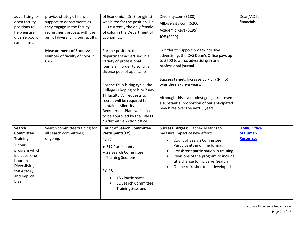| advertising for<br>open faculty<br>positions to<br>help ensure<br>diverse pool of<br>candidates.                                                                 | provide strategic financial<br>support to departments as<br>they engage in the faculty<br>recruitment process with the<br>aim of diversifying our faculty. | of Economics. Dr. Zhongjin Li<br>was hired for the position. Dr.<br>Li is currently the only female<br>of color in the Department of<br>Economics.                                                                                                     | Diversity.com (\$180)<br>AllDiversity.com (\$200)<br>Academic Keys (\$195)<br>JOE (\$200)                                                                                                                                                                                                                                                            | Dean/AD for<br>financials                          |  |
|------------------------------------------------------------------------------------------------------------------------------------------------------------------|------------------------------------------------------------------------------------------------------------------------------------------------------------|--------------------------------------------------------------------------------------------------------------------------------------------------------------------------------------------------------------------------------------------------------|------------------------------------------------------------------------------------------------------------------------------------------------------------------------------------------------------------------------------------------------------------------------------------------------------------------------------------------------------|----------------------------------------------------|--|
|                                                                                                                                                                  | <b>Measurement of Success:</b><br>Number of faculty of color in<br>CAS.                                                                                    | For the position, the<br>department advertised in a<br>variety of professional<br>journals in order to solicit a<br>diverse pool of applicants.                                                                                                        | In order to support broad/inclusive<br>advertising, the CAS Dean's Office pays up<br>to \$500 towards advertising in any<br>professional journal.                                                                                                                                                                                                    |                                                    |  |
|                                                                                                                                                                  |                                                                                                                                                            | For the FY19 hiring cycle, the<br>College is hoping to hire 7 new<br>TT faculty. All requests to<br>recruit will be required to<br>contain a Minority<br>Recruitment Plan, which has<br>to be approved by the Title IX<br>/ Affirmative Action office. | <b>Success target:</b> Increase by $7.5\%$ (N = 5)<br>over the next five years.<br>Although this is a modest goal, it represents<br>a substantial proportion of our anticipated<br>new hires over the next 5 years.                                                                                                                                  |                                                    |  |
| Search<br><b>Committee</b><br><b>Training</b><br>2 hour<br>program which<br>includes one<br>hour on<br>Diversifying<br>the Acadey<br>and Implicit<br><b>Bias</b> | Search committee training for<br>all search committees;<br>ongoing.                                                                                        | <b>Count of Search Committee</b><br>Participants(FY)<br><b>FY 17</b><br>• 317 Participants<br>• 29 Search Committee<br><b>Training Sessions</b><br>FY '18<br>186 Participants<br>32 Search Committee<br><b>Training Sessions</b>                       | <b>Success Targets: Planned Metrics to</b><br>measure impact of new efforts:<br><b>Count of Search Committee</b><br>$\bullet$<br>Participants in online format<br>Consistent participation in training<br>$\bullet$<br>Revisions of the program to include<br>٠<br>title change to Inclusive Search<br>Online refresher to be developed<br>$\bullet$ | <b>UMKC Office</b><br>of Human<br><b>Resources</b> |  |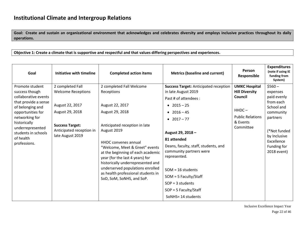**Goal: Create and sustain an organizational environment that acknowledges and celebrates diversity and employs inclusive practices throughout its daily operations.** 

**Objective 1: Create a climate that is supportive and respectful and that values differing perspectives and experiences.**

| Goal                                                                                                                                                                                                                                 | Initiative with timeline                                                                                                                                      | <b>Completed action items</b>                                                                                                                                                                                                                                                                                                                                                                                     | <b>Metrics (baseline and current)</b>                                                                                                                                                                                                                                                                                                                                     | Person<br>Responsible                                                                                                       | <b>Expenditures</b><br>(note if using IE<br>funding from<br>System)                                                                                                 |
|--------------------------------------------------------------------------------------------------------------------------------------------------------------------------------------------------------------------------------------|---------------------------------------------------------------------------------------------------------------------------------------------------------------|-------------------------------------------------------------------------------------------------------------------------------------------------------------------------------------------------------------------------------------------------------------------------------------------------------------------------------------------------------------------------------------------------------------------|---------------------------------------------------------------------------------------------------------------------------------------------------------------------------------------------------------------------------------------------------------------------------------------------------------------------------------------------------------------------------|-----------------------------------------------------------------------------------------------------------------------------|---------------------------------------------------------------------------------------------------------------------------------------------------------------------|
| Promote student<br>success though<br>collaborative events<br>that provide a sense<br>of belonging and<br>opportunities for<br>networking for<br>historically<br>underrepresented<br>students in schools<br>of health<br>professions. | 2 completed Fall<br><b>Welcome Receptions</b><br>August 22, 2017<br>August 29, 2018<br><b>Success Target:</b><br>Anticipated reception in<br>late August 2019 | 2 completed Fall Welcome<br>Receptions<br>August 22, 2017<br>August 29, 2018<br>Anticipated reception in late<br>August 2019<br><b>HHDC</b> convenes annual<br>"Welcome, Meet & Greet" events<br>at the beginning of each academic<br>year (for the last 4 years) for<br>historically underrepresented and<br>underserved populations enrolled<br>as health professional students in<br>SoD, SoM, SoNHS, and SoP. | <b>Success Target: Anticipated reception</b><br>in late August 2019<br>Past # of attendees :<br>• $2015 - 25$<br>• $2016 - 45$<br>• $2017 - 77$<br>August 29, 2018 -<br>81 attended<br>Deans, faculty, staff, students, and<br>community partners were<br>represented.<br>$SOM = 16$ students<br>$SOM = 5$ Faculty/Staff<br>$SOP = 3$ students<br>$SOP = 5$ Faculty/Staff | <b>UMKC Hospital</b><br><b>Hill Diversity</b><br>Council<br>$H H D C -$<br><b>Public Relations</b><br>& Events<br>Committee | $$560 -$<br>expenses<br>paid evenly<br>from each<br>School and<br>community<br>partners<br>(*Not funded<br>by Inclusive<br>Excellence<br>Funding for<br>2018 event) |
|                                                                                                                                                                                                                                      |                                                                                                                                                               |                                                                                                                                                                                                                                                                                                                                                                                                                   | SoNHS= 14 students                                                                                                                                                                                                                                                                                                                                                        |                                                                                                                             |                                                                                                                                                                     |

Inclusive Excellence Impact Year Page 22 of 46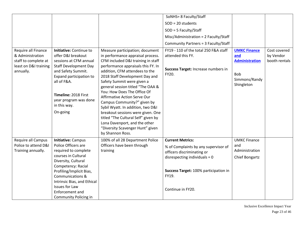|                                                                                                       |                                                                                                                                                                                                                                                      |                                                                                                                                                                                                                                                                                                                                                                                                                                                                                                                                                                             | SoNHS= 8 Faculty/Staff                                                                                     |                                                                                           |                                            |
|-------------------------------------------------------------------------------------------------------|------------------------------------------------------------------------------------------------------------------------------------------------------------------------------------------------------------------------------------------------------|-----------------------------------------------------------------------------------------------------------------------------------------------------------------------------------------------------------------------------------------------------------------------------------------------------------------------------------------------------------------------------------------------------------------------------------------------------------------------------------------------------------------------------------------------------------------------------|------------------------------------------------------------------------------------------------------------|-------------------------------------------------------------------------------------------|--------------------------------------------|
|                                                                                                       |                                                                                                                                                                                                                                                      |                                                                                                                                                                                                                                                                                                                                                                                                                                                                                                                                                                             | $SOD = 20$ students                                                                                        |                                                                                           |                                            |
|                                                                                                       |                                                                                                                                                                                                                                                      |                                                                                                                                                                                                                                                                                                                                                                                                                                                                                                                                                                             | $SOD = 5$ Faculty/Staff                                                                                    |                                                                                           |                                            |
|                                                                                                       |                                                                                                                                                                                                                                                      |                                                                                                                                                                                                                                                                                                                                                                                                                                                                                                                                                                             |                                                                                                            |                                                                                           |                                            |
|                                                                                                       |                                                                                                                                                                                                                                                      |                                                                                                                                                                                                                                                                                                                                                                                                                                                                                                                                                                             | Misc/Administration = 2 Faculty/Staff                                                                      |                                                                                           |                                            |
|                                                                                                       |                                                                                                                                                                                                                                                      |                                                                                                                                                                                                                                                                                                                                                                                                                                                                                                                                                                             | Community Partners = 3 Faculty/Staff                                                                       |                                                                                           |                                            |
| Require all Finance<br>& Administration<br>staff to complete at<br>least on D&I training<br>annually. | Initiative: Continue to<br>offer D&I breakout<br>sessions at CFM annual<br><b>Staff Development Day</b><br>and Safety Summit.<br>Expand participation to<br>all of F&A.<br>Timeline: 2018 First<br>year program was done<br>in this way.<br>On-going | Measure participation; document<br>in performance appraisal process.<br>CFM included D&I training in staff<br>performance appraisals this FY. In<br>addition, CFM attendees to the<br>2018 Staff Development Day and<br>Safety Summit were given a<br>general session titled "The OAA &<br>You: How Does The Office Of<br>Affirmative Action Serve Our<br>Campus Community?" given by<br>Sybil Wyatt. In addition, two D&I<br>breakout sessions were given. One<br>titled "The Cultural Self" given by<br>Lona Davenport, and the other<br>"Diversity Scavenger Hunt" given | FY19 - 110 of the total 250 F&A staff<br>attended this FY.<br>Success Target: Increase numbers in<br>FY20. | <b>UMKC Finance</b><br>and<br><b>Administration</b><br>Bob<br>Simmons/Randy<br>Shingleton | Cost covered<br>by Vendor<br>booth rentals |
| Require all Campus                                                                                    | Initiative: Campus                                                                                                                                                                                                                                   | by Shannon Ross.<br>100% of all 28 Department Police                                                                                                                                                                                                                                                                                                                                                                                                                                                                                                                        | <b>Current Metrics:</b>                                                                                    | <b>UMKC Finance</b>                                                                       |                                            |
| Police to attend D&I                                                                                  | Police Officers are                                                                                                                                                                                                                                  | Officers have been through                                                                                                                                                                                                                                                                                                                                                                                                                                                                                                                                                  |                                                                                                            | and                                                                                       |                                            |
| Training annually.                                                                                    | required to complete                                                                                                                                                                                                                                 | training                                                                                                                                                                                                                                                                                                                                                                                                                                                                                                                                                                    | % of Complaints by any supervisor of<br>officers discriminating or                                         | Administration                                                                            |                                            |
|                                                                                                       | courses in Cultural                                                                                                                                                                                                                                  |                                                                                                                                                                                                                                                                                                                                                                                                                                                                                                                                                                             | disrespecting individuals = $0$                                                                            | Chief Bongartz                                                                            |                                            |
|                                                                                                       | Diversity, Cultural                                                                                                                                                                                                                                  |                                                                                                                                                                                                                                                                                                                                                                                                                                                                                                                                                                             |                                                                                                            |                                                                                           |                                            |
|                                                                                                       | Competency: Racial                                                                                                                                                                                                                                   |                                                                                                                                                                                                                                                                                                                                                                                                                                                                                                                                                                             |                                                                                                            |                                                                                           |                                            |
|                                                                                                       | Profiling/Implicit Bias,                                                                                                                                                                                                                             |                                                                                                                                                                                                                                                                                                                                                                                                                                                                                                                                                                             | Success Target: 100% participation in                                                                      |                                                                                           |                                            |
|                                                                                                       | Communications &                                                                                                                                                                                                                                     |                                                                                                                                                                                                                                                                                                                                                                                                                                                                                                                                                                             | FY19.                                                                                                      |                                                                                           |                                            |
|                                                                                                       | Intrinsic Bias, and Ethical                                                                                                                                                                                                                          |                                                                                                                                                                                                                                                                                                                                                                                                                                                                                                                                                                             |                                                                                                            |                                                                                           |                                            |
|                                                                                                       | Issues for Law                                                                                                                                                                                                                                       |                                                                                                                                                                                                                                                                                                                                                                                                                                                                                                                                                                             | Continue in FY20.                                                                                          |                                                                                           |                                            |
|                                                                                                       | Enforcement and                                                                                                                                                                                                                                      |                                                                                                                                                                                                                                                                                                                                                                                                                                                                                                                                                                             |                                                                                                            |                                                                                           |                                            |
|                                                                                                       | <b>Community Policing in</b>                                                                                                                                                                                                                         |                                                                                                                                                                                                                                                                                                                                                                                                                                                                                                                                                                             |                                                                                                            |                                                                                           |                                            |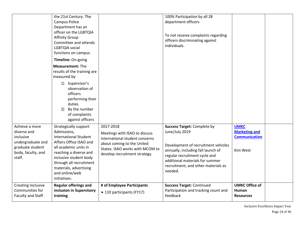|                                                                                                                     | the 21st Century. The<br>Campus Police<br>Department has an<br>officer on the LGBTQIA<br><b>Affinity Group</b><br>Committee and attends<br>LGBTQIA social<br>functions on campus.<br>Timeline: On-going                                                             |                                                                                                                                                                                | 100% Participation by all 28<br>department officers<br>To not receive complaints regarding<br>officers discriminating against<br>individuals.                                                                                                           |                                                                         |  |
|---------------------------------------------------------------------------------------------------------------------|---------------------------------------------------------------------------------------------------------------------------------------------------------------------------------------------------------------------------------------------------------------------|--------------------------------------------------------------------------------------------------------------------------------------------------------------------------------|---------------------------------------------------------------------------------------------------------------------------------------------------------------------------------------------------------------------------------------------------------|-------------------------------------------------------------------------|--|
|                                                                                                                     | <b>Measurement: The</b><br>results of the training are<br>measured by<br>1) Supervisor's<br>observation of<br>officers<br>performing their<br>duties<br>By the number<br>2)<br>of complaints<br>against officers                                                    |                                                                                                                                                                                |                                                                                                                                                                                                                                                         |                                                                         |  |
| Achieve a more<br>diverse and<br>inclusive<br>undergraduate and<br>graduate student<br>body, faculty, and<br>staff. | Strategically support<br>Admissions,<br><b>International Student</b><br>Affairs Office ISAO and<br>all academic units in<br>reaching a diverse and<br>inclusive student body<br>through all recruitment<br>materials, advertising<br>and online/web<br>initiatives. | 2017-2018<br>Meetings with ISAO to discuss<br>international student concerns<br>about coming to the United<br>States. ISAO works with MCOM to<br>develop recruitment strategy. | <b>Success Target: Complete by</b><br>June/July 2019<br>Development of recruitment vehicles<br>annually, including fall launch of<br>regular recruitment cycle and<br>additional materials for summer<br>recruitment, and other materials as<br>needed. | <b>UMKC</b><br><b>Marketing and</b><br><b>Communication</b><br>Kim West |  |
| Creating Inclusive<br>Communities for<br>Faculty and Staff                                                          | <b>Regular offerings and</b><br>inclusion in Supervisory<br>training                                                                                                                                                                                                | # of Employee Participants<br>• 110 participants (FY17)                                                                                                                        | <b>Success Target: Continued</b><br>Participation and tracking count and<br>feedback                                                                                                                                                                    | <b>UMKC Office of</b><br><b>Human</b><br><b>Resources</b>               |  |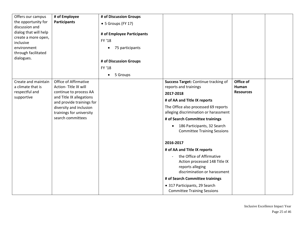| Offers our campus     | # of Employee                                         | # of Discussion Groups     |                                       |                  |  |
|-----------------------|-------------------------------------------------------|----------------------------|---------------------------------------|------------------|--|
| the opportunity for   | <b>Participants</b>                                   | • 5 Groups (FY 17)         |                                       |                  |  |
| discussion and        |                                                       |                            |                                       |                  |  |
| dialog that will help |                                                       | # of Employee Participants |                                       |                  |  |
| create a more open,   |                                                       | FY '18                     |                                       |                  |  |
| inclusive             |                                                       |                            |                                       |                  |  |
| environment           |                                                       | 75 participants            |                                       |                  |  |
| through facilitated   |                                                       |                            |                                       |                  |  |
| dialogues.            |                                                       | # of Discussion Groups     |                                       |                  |  |
|                       |                                                       | FY '18                     |                                       |                  |  |
|                       |                                                       | 5 Groups                   |                                       |                  |  |
| Create and maintain   | Office of Affirmative                                 |                            | Success Target: Continue tracking of  | Office of        |  |
| a climate that is     | Action-Title IX will                                  |                            | reports and trainings                 | Human            |  |
| respectful and        | continue to process AA                                |                            | 2017-2018                             | <b>Resources</b> |  |
| supportive            | and Title IX allegations<br>and provide trainings for |                            | # of AA and Title IX reports          |                  |  |
|                       | diversity and inclusion                               |                            | The Office also processed 69 reports  |                  |  |
|                       | trainings for university                              |                            | alleging discrimination or harassment |                  |  |
|                       | search committees                                     |                            | # of Search Committee trainings       |                  |  |
|                       |                                                       |                            | 186 Participants, 32 Search           |                  |  |
|                       |                                                       |                            | <b>Committee Training Sessions</b>    |                  |  |
|                       |                                                       |                            |                                       |                  |  |
|                       |                                                       |                            | 2016-2017                             |                  |  |
|                       |                                                       |                            | # of AA and Title IX reports          |                  |  |
|                       |                                                       |                            | the Office of Affirmative             |                  |  |
|                       |                                                       |                            | Action processed 148 Title IX         |                  |  |
|                       |                                                       |                            | reports alleging                      |                  |  |
|                       |                                                       |                            | discrimination or harassment          |                  |  |
|                       |                                                       |                            | # of Search Committee trainings       |                  |  |
|                       |                                                       |                            | • 317 Participants, 29 Search         |                  |  |
|                       |                                                       |                            | <b>Committee Training Sessions</b>    |                  |  |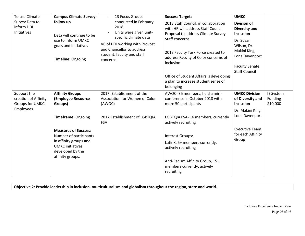| To use Climate<br>Survey Data to<br>inform DDI<br>Initiatives              | <b>Campus Climate Survey-</b><br>follow up<br>Data will continue to be<br>use to inform UMKC<br>goals and initiatives<br>Timeline: Ongoing         | 13 Focus Groups<br>conducted in February<br>2018<br>Units were given unit-<br>specific climate data<br>VC of DDI working with Provost<br>and Chancellor to address<br>student, faculty and staff<br>concerns. | <b>Success Target:</b><br>2018 Staff Council, in collaboration<br>with HR will address Staff Council<br>Proposal to address Climate Survey<br>Staff concerns<br>2018 Faculty Task Force created to<br>address Faculty of Color concerns of<br>inclusion<br>Office of Student Affairs is developing<br>a plan to increase student sense of<br>belonging | <b>UMKC</b><br><b>Division of</b><br><b>Diversity and</b><br>Inclusion<br>Dr. Susan<br>Wilson, Dr.<br>Makini King,<br>Lona Davenport<br><b>Faculty Senate</b><br><b>Staff Council</b> |                                  |
|----------------------------------------------------------------------------|----------------------------------------------------------------------------------------------------------------------------------------------------|---------------------------------------------------------------------------------------------------------------------------------------------------------------------------------------------------------------|--------------------------------------------------------------------------------------------------------------------------------------------------------------------------------------------------------------------------------------------------------------------------------------------------------------------------------------------------------|---------------------------------------------------------------------------------------------------------------------------------------------------------------------------------------|----------------------------------|
| Support the<br>creation of Affinity<br><b>Groups for UMKC</b><br>Employees | <b>Affinity Groups</b><br>(Employee Resource<br>Groups)                                                                                            | 2017: Establishment of the<br>Association for Women of Color<br>(AWOC)                                                                                                                                        | AWOC-35 members; held a mini-<br>conference in October 2018 with<br>more 50 participants                                                                                                                                                                                                                                                               | <b>UMKC Division</b><br>of Diversity and<br><b>Inclusion</b>                                                                                                                          | IE System<br>Funding<br>\$10,000 |
|                                                                            | <b>Timeframe: Ongoing</b>                                                                                                                          | 2017:Establishment of LGBTQIA<br><b>FSA</b>                                                                                                                                                                   | LGBTQIA FSA-16 members, currently<br>actively recruiting                                                                                                                                                                                                                                                                                               | Dr. Makini King,<br>Lona Davenport                                                                                                                                                    |                                  |
|                                                                            | <b>Measures of Success:</b><br>Number of participants<br>in affinity groups and<br><b>UMKC</b> initiatives<br>developed by the<br>affinity groups. |                                                                                                                                                                                                               | Interest Groups:<br>LatinX, 5+ members currently,<br>actively recruiting<br>Anti-Racism Affinity Group, 15+                                                                                                                                                                                                                                            | <b>Executive Team</b><br>for each Affinity<br>Group                                                                                                                                   |                                  |
|                                                                            |                                                                                                                                                    |                                                                                                                                                                                                               | members currently, actively<br>recruiting                                                                                                                                                                                                                                                                                                              |                                                                                                                                                                                       |                                  |

**Objective 2: Provide leadership in inclusion, multiculturalism and globalism throughout the region, state and world.**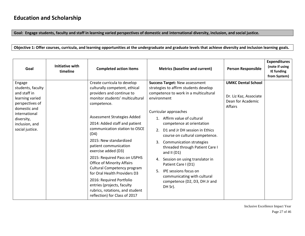**Goal: Engage students, faculty and staff in learning varied perspectives of domestic and international diversity, inclusion, and social justice.**

**Objective 1: Offer courses, curricula, and learning opportunities at the undergraduate and graduate levels that achieve diversity and inclusion learning goals.**

| Goal                                                                                                                                                                  | <b>Initiative with</b><br>timeline | <b>Completed action items</b>                                                                                                                                                                                                                                                                                                                                                                                                                                                                                                                                                                    | <b>Metrics (baseline and current)</b>                                                                                                                                                                                                                                                                                                                                                                                                                                                                                                                                    | <b>Person Responsible</b>                                                           | <b>Expenditures</b><br>(note if using<br>IE funding<br>from System) |
|-----------------------------------------------------------------------------------------------------------------------------------------------------------------------|------------------------------------|--------------------------------------------------------------------------------------------------------------------------------------------------------------------------------------------------------------------------------------------------------------------------------------------------------------------------------------------------------------------------------------------------------------------------------------------------------------------------------------------------------------------------------------------------------------------------------------------------|--------------------------------------------------------------------------------------------------------------------------------------------------------------------------------------------------------------------------------------------------------------------------------------------------------------------------------------------------------------------------------------------------------------------------------------------------------------------------------------------------------------------------------------------------------------------------|-------------------------------------------------------------------------------------|---------------------------------------------------------------------|
| Engage<br>students, faculty<br>and staff in<br>learning varied<br>perspectives of<br>domestic and<br>international<br>diversity,<br>inclusion, and<br>social justice. |                                    | Create curricula to develop<br>culturally competent, ethical<br>providers and continue to<br>monitor students' multicultural<br>competence.<br>Assessment Strategies Added<br>2014: Added staff and patient<br>communication station to OSCE<br>(D4)<br>2015: New standardized<br>patient communication<br>exercise added (D3)<br>2015: Required Pass on USPHS<br><b>Office of Minority Affairs</b><br>Cultural Competency program<br>for Oral Health Providers D3<br>2016: Required Portfolio<br>entries (projects, faculty<br>rubrics, rotations, and student<br>reflection) for Class of 2017 | <b>Success Target: New assessment</b><br>strategies to affirm students develop<br>competence to work in a multicultural<br>environment<br>Curricular approaches<br>1. Affirm value of cultural<br>competence at orientation<br>D1 and Jr DH session in Ethics<br>2.<br>course on cultural competence.<br><b>Communication strategies</b><br>3.<br>threaded through Patient Care I<br>and II $(D1)$<br>4. Session on using translator in<br>Patient Care I (D1)<br>IPE sessions focus on<br>5.<br>communicating with cultural<br>competence (D2, D3, DH Jr and<br>DH Sr). | <b>UMKC Dental School</b><br>Dr. Liz Kaz, Associate<br>Dean for Academic<br>Affairs |                                                                     |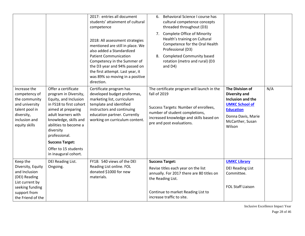|                                                                                                                                    |                                                                                                                                                                                                                                                                                                         | 2017: entries all document<br>students' attainment of cultural<br>competence<br>2018: All assessment strategies<br>mentioned are still in place. We<br>also added a Standardized<br><b>Patient Communication</b><br>Competency in the Summer of<br>the D3 year and 94% passed on<br>the first attempt. Last year, it<br>was 89% so moving in a positive<br>direction. | Behavioral Science I course has<br>6.<br>cultural competence concepts<br>threaded throughout (D3)<br>7. Complete Office of Minority<br>Health's training on Cultural<br>Competence for the Oral Health<br>Professional (D3)<br><b>Completed Community based</b><br>8.<br>rotation (metro and rural) (D3<br>and D4) |                                                                                                                                                               |     |
|------------------------------------------------------------------------------------------------------------------------------------|---------------------------------------------------------------------------------------------------------------------------------------------------------------------------------------------------------------------------------------------------------------------------------------------------------|-----------------------------------------------------------------------------------------------------------------------------------------------------------------------------------------------------------------------------------------------------------------------------------------------------------------------------------------------------------------------|--------------------------------------------------------------------------------------------------------------------------------------------------------------------------------------------------------------------------------------------------------------------------------------------------------------------|---------------------------------------------------------------------------------------------------------------------------------------------------------------|-----|
| Increase the<br>competency of<br>the community<br>and university<br>talent pool in<br>diversity,<br>inclusion and<br>equity skills | Offer a certificate<br>program in Diversity,<br>Equity, and Inclusion<br>in FS18 to first cohort<br>aimed at preparing<br>adult learners with<br>knowledge, skills and<br>abilities to become a<br>diversity<br>professional.<br><b>Success Target:</b><br>Offer to 15 students<br>in inaugural cohort. | Certificate program has<br>developed budget proformas,<br>marketing list, curriculum<br>template and identified<br>instructors and continuing<br>education partner. Currently<br>working on curriculum content.                                                                                                                                                       | The certificate program will launch in the<br>fall of 2019<br>Success Targets: Number of enrollees,<br>number of student completions,<br>increased knowledge and skills based on<br>pre and post evaluations.                                                                                                      | The Division of<br><b>Diversity and</b><br>Inclusion and the<br><b>UMKC School of</b><br><b>Education</b><br>Donna Davis, Marie<br>McCarther, Susan<br>Wilson | N/A |
| Keep the<br>Diversity, Equity<br>and Inclusion<br>(DEI) Reading<br>List current by<br>seeking funding                              | DEI Reading List.<br>Ongoing.                                                                                                                                                                                                                                                                           | FY18: 540 views of the DEI<br>Reading List online. FOL<br>donated \$1000 for new<br>materials.                                                                                                                                                                                                                                                                        | <b>Success Target:</b><br>Revise titles each year on the list<br>annually. For 2017 there are 80 titles on<br>the Reading List.                                                                                                                                                                                    | <b>UMKC Library</b><br><b>DEI Reading List</b><br>Committee.<br><b>FOL Staff Liaison</b>                                                                      |     |
| support from<br>the Friend of the                                                                                                  |                                                                                                                                                                                                                                                                                                         |                                                                                                                                                                                                                                                                                                                                                                       | Continue to market Reading List to<br>increase traffic to site.                                                                                                                                                                                                                                                    |                                                                                                                                                               |     |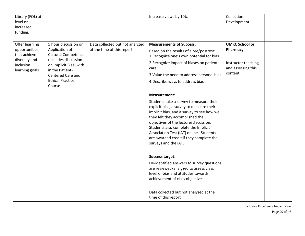| Library (FOL) at<br>level or<br>increased<br>funding.                                           |                                                                                                                                                                                                     |                                                               | Increase views by 10%                                                                                                                                                                                                                                                                                                                                                               | Collection<br>Development                                                                 |  |
|-------------------------------------------------------------------------------------------------|-----------------------------------------------------------------------------------------------------------------------------------------------------------------------------------------------------|---------------------------------------------------------------|-------------------------------------------------------------------------------------------------------------------------------------------------------------------------------------------------------------------------------------------------------------------------------------------------------------------------------------------------------------------------------------|-------------------------------------------------------------------------------------------|--|
| Offer learning<br>opportunities<br>that achieve<br>diversity and<br>inclusion<br>learning goals | 5 hour discussion on<br>Application of<br><b>Cultural Competence</b><br>(includes discussion<br>on Implicit Bias) with<br>in the Patient-<br>Centered Care and<br><b>Ethical Practice</b><br>Course | Data collected but not analyzed<br>at the time of this report | <b>Measurements of Success:</b><br>Based on the results of a pre/posttest:<br>1. Recognize one's own potential for bias<br>2. Recognize impact of biases on patient<br>care<br>3. Value the need to address personal bias<br>4. Describe ways to address bias                                                                                                                       | <b>UMKC School or</b><br>Pharmacy<br>Instructor teaching<br>and assessing this<br>content |  |
|                                                                                                 |                                                                                                                                                                                                     |                                                               | Measurement:<br>Students take a survey to measure their<br>explicit bias, a survey to measure their<br>implicit bias, and a survey to see how well<br>they felt they accomplished the<br>objectives of the lecture/discussion.<br>Students also complete the Implicit<br>Association Test (IAT) online. Students<br>are awarded credit if they complete the<br>surveys and the IAT. |                                                                                           |  |
|                                                                                                 |                                                                                                                                                                                                     |                                                               | <b>Success target:</b><br>De-identified answers to survey questions<br>are reviewed/analyzed to assess class<br>level of bias and attitudes towards<br>achievement of class objectives<br>Data collected but not analyzed at the<br>time of this report                                                                                                                             |                                                                                           |  |

Inclusive Excellence Impact Year Page 29 of 46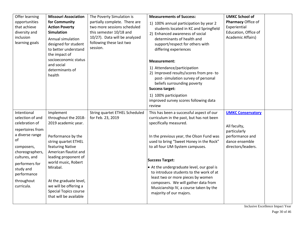| Offer learning<br>opportunities<br>that achieve<br>diversity and<br>inclusion<br>learning goals                                                                                                                            | <b>Missouri Association</b><br>for Community<br><b>Action Poverty</b><br><b>Simulation</b><br>Annual simulation<br>designed for student<br>to better understand<br>the impact of<br>socioeconomic status<br>and social<br>determinants of<br>health                                                                  | The Poverty Simulation is<br>partially complete. There are<br>two more sessions scheduled<br>this semester 10/18 and<br>10/27). Data will be analyzed<br>following these last two<br>session. | <b>Measurements of Success:</b><br>1) 100% annual participation by year 2<br>students located in KC and Springfield<br>2) Enhanced awareness of social<br>determinants of health and<br>support/respect for others with<br>differing experiences<br><b>Measurement:</b><br>1) Attendance/participation<br>2) Improved results/scores from pre-to<br>post- simulation survey of personal<br>beliefs surrounding poverty<br><b>Success target:</b><br>1) 100% participation<br>improved survey scores following data<br>review | <b>UMKC School of</b><br>Pharmacy Office of<br>Experiential<br>Education, Office of<br>Academic Affairs)            |
|----------------------------------------------------------------------------------------------------------------------------------------------------------------------------------------------------------------------------|----------------------------------------------------------------------------------------------------------------------------------------------------------------------------------------------------------------------------------------------------------------------------------------------------------------------|-----------------------------------------------------------------------------------------------------------------------------------------------------------------------------------------------|------------------------------------------------------------------------------------------------------------------------------------------------------------------------------------------------------------------------------------------------------------------------------------------------------------------------------------------------------------------------------------------------------------------------------------------------------------------------------------------------------------------------------|---------------------------------------------------------------------------------------------------------------------|
| Intentional<br>selection of and<br>celebration of<br>repertoires from<br>a diverse range<br>of<br>composers,<br>choreographers,<br>cultures, and<br>performers for<br>study and<br>performance<br>throughout<br>curricula. | Implement<br>throughout the 2018-<br>2019 academic year.<br>Performance by the<br>string quartet ETHEL<br>featuring Native<br>American flautist and<br>leading proponent of<br>world music, Robert<br>Mirabal.<br>At the graduate level,<br>we will be offering a<br>Special Topics course<br>that will be available | String quartet ETHEL Scheduled<br>for Feb. 23, 2019                                                                                                                                           | This has been a successful aspect of our<br>curriculum in the past, but has not been<br>specifically measured.<br>In the previous year, the Olson Fund was<br>used to bring "Sweet Honey in the Rock"<br>to all four UM-System campuses.<br><b>Success Target:</b><br>• At the undergraduate level, our goal is<br>to introduce students to the work of at<br>least two or more pieces by women<br>composers. We will gather data from<br>Musicianship IV, a course taken by the<br>majority of our majors.                  | <b>UMKC Conservatory</b><br>All faculty,<br>particularly<br>performance and<br>dance ensemble<br>directors/leaders. |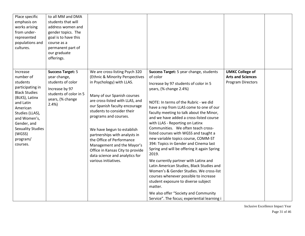| Place specific<br>emphasis on<br>works arising<br>from under-<br>represented<br>populations and<br>cultures.                                                                                                                             | to all MM and DMA<br>students that will<br>address women and<br>gender topics. The<br>goal is to have this<br>course as a<br>permanent part of<br>our graduate<br>offerings. |                                                                                                                                                                                                                                                                                                                                                                                                                                                                                  |                                                                                                                                                                                                                                                                                                                                                                                                                                                                                                                                                                                                                                                                                                                                                                                                                                                                                |                                                                                |  |
|------------------------------------------------------------------------------------------------------------------------------------------------------------------------------------------------------------------------------------------|------------------------------------------------------------------------------------------------------------------------------------------------------------------------------|----------------------------------------------------------------------------------------------------------------------------------------------------------------------------------------------------------------------------------------------------------------------------------------------------------------------------------------------------------------------------------------------------------------------------------------------------------------------------------|--------------------------------------------------------------------------------------------------------------------------------------------------------------------------------------------------------------------------------------------------------------------------------------------------------------------------------------------------------------------------------------------------------------------------------------------------------------------------------------------------------------------------------------------------------------------------------------------------------------------------------------------------------------------------------------------------------------------------------------------------------------------------------------------------------------------------------------------------------------------------------|--------------------------------------------------------------------------------|--|
| Increase<br>number of<br>students<br>participating in<br><b>Black Studies</b><br>(BLKS), Latinx<br>and Latin<br>American<br>Studies (LLAS),<br>and Women's,<br>Gender, and<br><b>Sexuality Studies</b><br>(WGSS)<br>program/<br>courses. | <b>Success Target: 5</b><br>year change,<br>students of color<br>Increase by 97<br>students of color in 5<br>years, (% change<br>2.4%                                        | We are cross-listing Psych 320<br>(Ethnic & Minority Perspectives<br>in Psychology) with LLAS.<br>Many of our Spanish courses<br>are cross-listed with LLAS, and<br>our Spanish faculty encourage<br>students to consider their<br>programs and courses.<br>We have begun to establish<br>partnerships with analysts in<br>the Office of Performance<br>Management and the Mayor's<br>Office in Kansas City to provide<br>data science and analytics for<br>various initiatives. | Success Target: 5 year change, students<br>of color<br>Increase by 97 students of color in 5<br>years, (% change 2.4%)<br>NOTE: In terms of the Rubric - we did<br>have a rep from LLAS come to one of our<br>faculty meeting to talk about the Minor,<br>and we have added a cross-listed course<br>with LLAS - Reporting on Latinx<br>Communities. We often teach cross-<br>listed courses with WGSS and taught a<br>new variable topics course, COMM-ST<br>394: Topics in Gender and Cinema last<br>Spring and will be offering it again Spring<br>2019.<br>We currently partner with Latinx and<br>Latin American Studies, Black Studies and<br>Women's & Gender Studies. We cross-list<br>courses whenever possible to increase<br>student exposure to diverse subject<br>matter.<br>We also offer "Society and Community<br>Service". The focus; experiential learning i | <b>UMKC College of</b><br><b>Arts and Sciences</b><br><b>Program Directors</b> |  |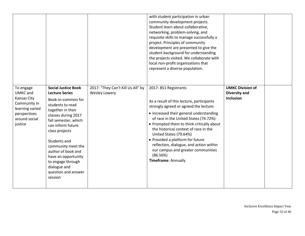|                                                                                                                            |                                                                                                                                                                                                                                                                                                                                                                    |                                                           | with student participation in urban<br>community development projects.<br>Student learn about collaborative,<br>networking, problem-solving, and<br>requisite skills to manage successfully a<br>project. Principles of community<br>development are presented to give the<br>student background for understanding<br>the projects visited. We collaborate with<br>local non-profit organizations that<br>represent a diverse population.                                |                                                                     |  |
|----------------------------------------------------------------------------------------------------------------------------|--------------------------------------------------------------------------------------------------------------------------------------------------------------------------------------------------------------------------------------------------------------------------------------------------------------------------------------------------------------------|-----------------------------------------------------------|--------------------------------------------------------------------------------------------------------------------------------------------------------------------------------------------------------------------------------------------------------------------------------------------------------------------------------------------------------------------------------------------------------------------------------------------------------------------------|---------------------------------------------------------------------|--|
| To engage<br><b>UMKC</b> and<br>Kansas City<br>Community in<br>learning varied<br>perspectives<br>around social<br>justice | <b>Social Justice Book</b><br><b>Lecture Series</b><br>Book-in-common for<br>students to read<br>together in their<br>classes during 2017<br>fall semester, which<br>can inform future<br>class projects<br>Students and<br>community meet the<br>author of book and<br>have an opportunity<br>to engage through<br>dialogue and<br>question and answer<br>session | 2017: "They Can't Kill Us All" by<br><b>Wesley Lowery</b> | 2017: 851 Registrants<br>As a result of this lecture, participants<br>strongly agreed or agreed the lecture:<br>• Increased their general understanding<br>of race in the United States (74.72%)<br>• Prompted them to think critically about<br>the historical context of race in the<br>United States (79.64%)<br>• Provided a platform for future<br>reflection, dialogue, and action within<br>our campus and greater communities<br>(86.56%)<br>Timeframe: Annually | <b>UMKC Division of</b><br><b>Diversity and</b><br><b>Inclusion</b> |  |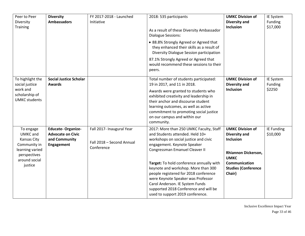| Peer to Peer<br>Diversity<br><b>Training</b>                                                                        | <b>Diversity</b><br><b>Ambassadors</b>                                              | FY 2017-2018 - Launched<br>Initiative                                | 2018: 535 participants<br>As a result of these Diversity Ambassador<br><b>Dialogue Sessions:</b><br>• 88.8% Strongly Agreed or Agreed that<br>they enhanced their skills as a result of<br>Diversity Dialogue Session participation<br>87.1% Strongly Agreed or Agreed that<br>would recommend these sessions to their<br>peers.                                                                                                                                       | <b>UMKC Division of</b><br><b>Diversity and</b><br><b>Inclusion</b>                                                                                                | IE System<br>Funding<br>\$17,000 |
|---------------------------------------------------------------------------------------------------------------------|-------------------------------------------------------------------------------------|----------------------------------------------------------------------|------------------------------------------------------------------------------------------------------------------------------------------------------------------------------------------------------------------------------------------------------------------------------------------------------------------------------------------------------------------------------------------------------------------------------------------------------------------------|--------------------------------------------------------------------------------------------------------------------------------------------------------------------|----------------------------------|
| To highlight the<br>social justice<br>work and<br>scholarship of<br><b>UMKC</b> students                            | <b>Social Justice Scholar</b><br><b>Awards</b>                                      |                                                                      | Total number of students participated:<br>19 in 2017, and 11 in 2018.<br>Awards were granted to students who<br>exhibited creativity and leadership in<br>their anchor and discourse student<br>learning outcomes, as well as active<br>commitment to promoting social justice<br>on our campus and within our<br>community.                                                                                                                                           | <b>UMKC Division of</b><br><b>Diversity and</b><br>Inclusion                                                                                                       | IE System<br>Funding<br>\$2250   |
| To engage<br>UMKC and<br>Kansas City<br>Community in<br>learning varied<br>perspectives<br>around social<br>justice | <b>Educate-Organize-</b><br><b>Advocate on Civic</b><br>and Community<br>Engagement | Fall 2017- Inaugural Year<br>Fall 2018 - Second Annual<br>Conference | 2017: More than 250 UMKC Faculty, Staff<br>and Students attended. Held 10+<br>workshops on social justice and civic<br>engagement. Keynote Speaker<br>Congressman Emanuel Cleaver II<br>Target: To hold conference annually with<br>keynote and workshop. More than 300<br>people registered for 2018 conference<br>were Keynote Speaker was Professor<br>Carol Anderson. IE System Funds<br>supported 2018 Conference and will be<br>used to support 2019 conference. | <b>UMKC Division of</b><br><b>Diversity and</b><br><b>Inclusion</b><br>Rhiannon Dickerson,<br><b>UMKC</b><br>Communication<br><b>Studies (Conference</b><br>Chair) | IE Funding<br>\$10,000           |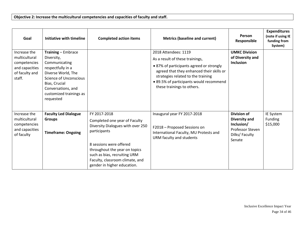| Goal                                                                                        | <b>Initiative with timeline</b>                                                                                                                                                                                     | <b>Completed action items</b>                                                                                                                                                                                                                                    | <b>Metrics (baseline and current)</b>                                                                                                                                                                                                                           | Person<br>Responsible                                                                            | <b>Expenditures</b><br>(note if using IE<br>funding from<br>System) |
|---------------------------------------------------------------------------------------------|---------------------------------------------------------------------------------------------------------------------------------------------------------------------------------------------------------------------|------------------------------------------------------------------------------------------------------------------------------------------------------------------------------------------------------------------------------------------------------------------|-----------------------------------------------------------------------------------------------------------------------------------------------------------------------------------------------------------------------------------------------------------------|--------------------------------------------------------------------------------------------------|---------------------------------------------------------------------|
| Increase the<br>multicultural<br>competencies<br>and capacities<br>of faculty and<br>staff. | <b>Training - Embrace</b><br>Diversity,<br>Communicating<br>respectfully in a<br>Diverse World, The<br><b>Science of Unconscious</b><br>Bias, Crucial<br>Conversations, and<br>customized trainings as<br>requested |                                                                                                                                                                                                                                                                  | 2018 Attendees: 1119<br>As a result of these trainings,<br>• 87% of participants agreed or strongly<br>agreed that they enhanced their skills or<br>strategies related to the training<br>• 89.5% of participants would recommend<br>these trainings to others. | <b>UMKC Division</b><br>of Diversity and<br><b>Inclusion</b>                                     |                                                                     |
| Increase the<br>multicultural<br>competencies<br>and capacities<br>of faculty               | <b>Faculty Led Dialogue</b><br><b>Groups</b><br><b>Timeframe: Ongoing</b>                                                                                                                                           | FY 2017-2018<br>Completed one year of Faculty<br>Diversity Dialogues with over 250<br>participants<br>8 sessions were offered<br>throughout the year on topics<br>such as bias, recruiting URM<br>Faculty, classroom climate, and<br>gender in higher education. | Inaugural year FY 2017-2018<br>F2018 - Proposed Sessions on<br>International Faculty, MU Protests and<br>URM faculty and students                                                                                                                               | <b>Division of</b><br>Diversity and<br>Inclusion/<br>Professor Steven<br>Dilks/Faculty<br>Senate | IE System<br>Funding<br>\$15,000                                    |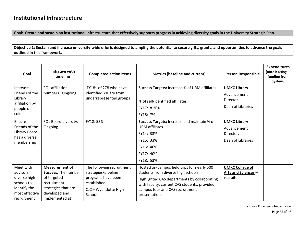### **Institutional Infrastructure**

**Goal: Create and sustain an institutional infrastructure that effectively supports progress in achieving diversity goals in the University Strategic Plan.**

**Objective 1: Sustain and increase university-wide efforts designed to amplify the potential to secure gifts, grants, and opportunities to advance the goals outlined in this framework.**

| Goal                                                                                                    | Initiative with<br>timeline                                                                                                                 | <b>Completed action items</b>                                                                                            | <b>Metrics (baseline and current)</b>                                                                                                                                                                                                  | <b>Person Responsible</b>                                            | <b>Expenditures</b><br>(note if using IE<br>funding from<br>System) |
|---------------------------------------------------------------------------------------------------------|---------------------------------------------------------------------------------------------------------------------------------------------|--------------------------------------------------------------------------------------------------------------------------|----------------------------------------------------------------------------------------------------------------------------------------------------------------------------------------------------------------------------------------|----------------------------------------------------------------------|---------------------------------------------------------------------|
| Increase<br>Friends of the<br>Library                                                                   | FOL affiliation<br>numbers. Ongoing.                                                                                                        | FY18: of 278 who have<br>identified 7% are from<br>underrepresented groups                                               | <b>Success Targets: Increase % of URM affiliates</b>                                                                                                                                                                                   | <b>UMKC Library</b><br>Advancement<br>Director.                      |                                                                     |
| affiliation by<br>people of                                                                             |                                                                                                                                             |                                                                                                                          | % of self-identified affiliates.<br>FY17: 8.36%                                                                                                                                                                                        | Dean of Libraries                                                    |                                                                     |
| color<br>Ensure<br>Friends of the<br>Library Board<br>has a diverse<br>membership                       | FOL Board diversity.<br>Ongoing                                                                                                             | FY18: 53%                                                                                                                | FY18: 7%<br>Success Targets: Increase and maintain % of<br><b>URM</b> affiliates<br>FY14: 33%<br>FY15: 33%<br>FY16: 46%<br>FY17: 40%<br>FY18: 53%                                                                                      | <b>UMKC Library</b><br>Advancement<br>Director.<br>Dean of Libraries |                                                                     |
| Meet with<br>advisors in<br>diverse high<br>schools to<br>identify the<br>most effective<br>recruitment | <b>Measurement of</b><br><b>Success: The number</b><br>of targeted<br>recruitment<br>strategies that are<br>developed and<br>implemented at | The following recruitment<br>strategies/pipeline<br>programs have been<br>established:<br>CJC - Wyandotte High<br>School | Hosted on-campus field trips for nearly 500<br>students from diverse high schools.<br>Highlighted CAS departments by collaborating<br>with faculty, current CAS students, provided<br>campus tour and CAS recruitment<br>presentation. | <b>UMKC College of</b><br><b>Arts and Sciences -</b><br>recruiter    |                                                                     |

Inclusive Excellence Impact Year Page 35 of 46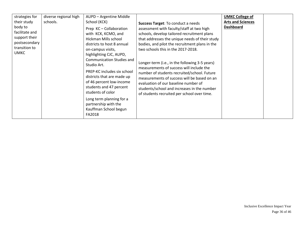| strategies for<br>their study<br>body to<br>facilitate and<br>support their<br>postsecondary<br>transition to<br><b>UMKC</b> | diverse regional high<br>schools. | AUPD - Argentine Middle<br>School (KCK)<br>Prep KC-Collaboration<br>with KCK, KCMO, and<br>Hickman Mills school<br>districts to host 8 annual<br>on-campus visits,<br>highlighting CJC, AUPD,<br><b>Communication Studies and</b><br>Studio Art.<br>PREP-KC includes six school<br>districts that are made up<br>of 46 percent low-income<br>students and 47 percent<br>students of color<br>Long term planning for a<br>partnership with the<br>Kauffman School begun | Success Target: To conduct a needs<br>assessment with faculty/staff at two high<br>schools, develop tailored recruitment plans<br>that addresses the unique needs of their study<br>bodies, and pilot the recruitment plans in the<br>two schools this in the 2017-2018.<br>Longer-term (i.e., in the following 3-5 years)<br>measurements of success will include the<br>number of students recruited/school. Future<br>measurements of success will be based on an<br>evaluation of our baseline number of<br>students/school and increases in the number<br>of students recruited per school over time. | <b>UMKC College of</b><br><b>Arts and Sciences</b><br><b>Dashboard</b> |  |
|------------------------------------------------------------------------------------------------------------------------------|-----------------------------------|------------------------------------------------------------------------------------------------------------------------------------------------------------------------------------------------------------------------------------------------------------------------------------------------------------------------------------------------------------------------------------------------------------------------------------------------------------------------|------------------------------------------------------------------------------------------------------------------------------------------------------------------------------------------------------------------------------------------------------------------------------------------------------------------------------------------------------------------------------------------------------------------------------------------------------------------------------------------------------------------------------------------------------------------------------------------------------------|------------------------------------------------------------------------|--|
|                                                                                                                              |                                   | FA2018                                                                                                                                                                                                                                                                                                                                                                                                                                                                 |                                                                                                                                                                                                                                                                                                                                                                                                                                                                                                                                                                                                            |                                                                        |  |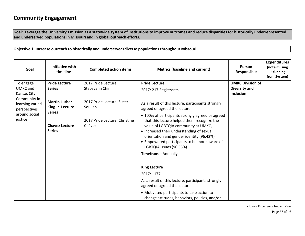## **Community Engagement**

**Goal: Leverage the University's mission as a statewide system of institutions to improve outcomes and reduce disparities for historically underrepresented and underserved populations in Missouri and in global outreach efforts.**

**Objective 1: Increase outreach to historically and underserved/diverse populations throughout Missouri**

| Goal                                                                                | <b>Initiative with</b><br>timeline       | <b>Completed action items</b>           | <b>Metrics (baseline and current)</b>                                                                                                                                                                                                                                                                                             | Person<br><b>Responsible</b> | <b>Expenditures</b><br>(note if using<br>IE funding<br>from System) |
|-------------------------------------------------------------------------------------|------------------------------------------|-----------------------------------------|-----------------------------------------------------------------------------------------------------------------------------------------------------------------------------------------------------------------------------------------------------------------------------------------------------------------------------------|------------------------------|---------------------------------------------------------------------|
| To engage                                                                           | <b>Pride Lecture</b>                     | 2017 Pride Lecture:                     | <b>Pride Lecture</b>                                                                                                                                                                                                                                                                                                              | <b>UMKC Division of</b>      |                                                                     |
| <b>UMKC</b> and<br>Kansas City                                                      | <b>Series</b>                            | Staceyann Chin                          | 2017: 217 Registrants                                                                                                                                                                                                                                                                                                             | Diversity and<br>Inclusion   |                                                                     |
| Community in<br>learning varied<br>perspectives                                     | <b>Martin Luther</b><br>King Jr. Lecture | 2017 Pride Lecture: Sister<br>Souljah   | As a result of this lecture, participants strongly<br>agreed or agreed the lecture:                                                                                                                                                                                                                                               |                              |                                                                     |
| <b>Series</b><br>around social<br>justice<br><b>Chavez Lecture</b><br><b>Series</b> |                                          | 2017 Pride Lecture: Christine<br>Chávez | • 100% of participants strongly agreed or agreed<br>that this lecture helped them recognize the<br>value of LGBTQIA community at UMKC,<br>• Increased their understanding of sexual<br>orientation and gender identity (96.42%)<br>• Empowered participants to be more aware of<br>LGBTQIA issues (96.55%)<br>Timeframe: Annually |                              |                                                                     |
|                                                                                     |                                          |                                         | <b>King Lecture</b>                                                                                                                                                                                                                                                                                                               |                              |                                                                     |
|                                                                                     |                                          |                                         | 2017: 1177                                                                                                                                                                                                                                                                                                                        |                              |                                                                     |
|                                                                                     |                                          |                                         | As a result of this lecture, participants strongly<br>agreed or agreed the lecture:                                                                                                                                                                                                                                               |                              |                                                                     |
|                                                                                     |                                          |                                         | • Motivated participants to take action to<br>change attitudes, behaviors, policies, and/or                                                                                                                                                                                                                                       |                              |                                                                     |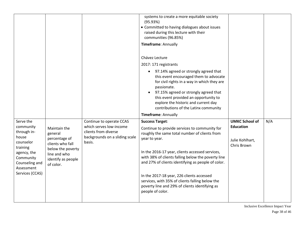|                                                                                                                                                        |                                                                                                                                      |                                                                                                                         | systems to create a more equitable society<br>(95.93%)<br>• Committed to having dialogues about issues<br>raised during this lecture with their<br>communities (96.85%)<br>Timeframe: Annually                                                                                                                                                                                                                                                                                 |                                                                             |     |
|--------------------------------------------------------------------------------------------------------------------------------------------------------|--------------------------------------------------------------------------------------------------------------------------------------|-------------------------------------------------------------------------------------------------------------------------|--------------------------------------------------------------------------------------------------------------------------------------------------------------------------------------------------------------------------------------------------------------------------------------------------------------------------------------------------------------------------------------------------------------------------------------------------------------------------------|-----------------------------------------------------------------------------|-----|
|                                                                                                                                                        |                                                                                                                                      |                                                                                                                         | Chávez Lecture<br>2017: 171 registrants<br>97.14% agreed or strongly agreed that<br>$\bullet$<br>this event encouraged them to advocate<br>for civil rights in a way in which they are<br>passionate.<br>97.15% agreed or strongly agreed that<br>$\bullet$<br>this event provided an opportunity to<br>explore the historic and current day<br>contributions of the Latinx community<br>Timeframe: Annually                                                                   |                                                                             |     |
| Serve the<br>community<br>through in-<br>house<br>counselor<br>training<br>agency, the<br>Community<br>Counseling and<br>Assessment<br>Services (CCAS) | Maintain the<br>general<br>percentage of<br>clients who fall<br>below the poverty<br>line and who<br>identify as people<br>of color. | Continue to operate CCAS<br>which serves low-income<br>clients from diverse<br>backgrounds on a sliding scale<br>basis. | <b>Success Target:</b><br>Continue to provide services to community for<br>roughly the same total number of clients from<br>year to year.<br>In the 2016-17 year, clients accessed services,<br>with 38% of clients falling below the poverty line<br>and 27% of clients identifying as people of color.<br>In the 2017-18 year, 226 clients accessed<br>services, with 35% of clients falling below the<br>poverty line and 29% of clients identifying as<br>people of color. | <b>UMKC School of</b><br><b>Education</b><br>Julie Kohlhart,<br>Chris Brown | N/A |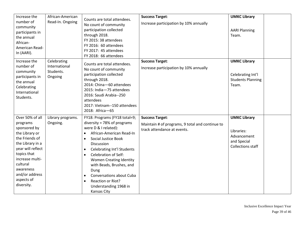| Increase the<br>number of<br>community<br>participants in<br>the annual<br>African-<br>American Read-<br>In (AARI).                                                                                                               | African-American<br>Read-In. Ongoing                 | Counts are total attendees.<br>No count of community<br>participation collected<br>through 2018.<br>FY 2015: 38 attendees<br>FY 2016: 60 attendees<br>FY 2017: 45 attendees<br>FY 2018: 66 attendees                                                                                                                                                                                                                                     | <b>Success Target:</b><br>Increase participation by 10% annually                                         | <b>UMKC Library</b><br><b>AARI Planning</b><br>Team.                                 |
|-----------------------------------------------------------------------------------------------------------------------------------------------------------------------------------------------------------------------------------|------------------------------------------------------|------------------------------------------------------------------------------------------------------------------------------------------------------------------------------------------------------------------------------------------------------------------------------------------------------------------------------------------------------------------------------------------------------------------------------------------|----------------------------------------------------------------------------------------------------------|--------------------------------------------------------------------------------------|
| Increase the<br>number of<br>community<br>participants in<br>the annual<br>Celebrating<br>International<br>Students.                                                                                                              | Celebrating<br>International<br>Students.<br>Ongoing | Counts are total attendees.<br>No count of community<br>participation collected<br>through 2018.<br>2014: China-60 attendees<br>2015: India-75 attendees<br>2016: Saudi Arabia--250<br>attendees<br>2017: Vietnam--150 attendees<br>2018: Africa-65                                                                                                                                                                                      | <b>Success Target:</b><br>Increase participation by 10% annually                                         | <b>UMKC Library</b><br>Celebrating Int'l<br><b>Students Planning</b><br>Team.        |
| Over 50% of all<br>programs<br>sponsored by<br>the Library or<br>the Friends of<br>the Library in a<br>year will reflect<br>topics that<br>increase multi-<br>cultural<br>awareness<br>and/or address<br>aspects of<br>diversity. | Library programs.<br>Ongoing.                        | FY18: Programs (FY18 total=9;<br>diversity = $78%$ of programs<br>were D & I related):<br>African-American Read-In<br>$\bullet$<br>Social Justice Book<br>$\bullet$<br>Discussion<br><b>Celebrating Int'l Students</b><br><b>Celebration of Self:</b><br><b>Women Creating Identity</b><br>with Beads, Brushes, and<br>Dung<br>Conversations about Cuba<br>$\bullet$<br>Reaction or Riot?<br>Understanding 1968 in<br><b>Kansas City</b> | <b>Success Target:</b><br>Maintain # of programs, 9 total and continue to<br>track attendance at events. | <b>UMKC Library</b><br>Libraries:<br>Advancement<br>and Special<br>Collections staff |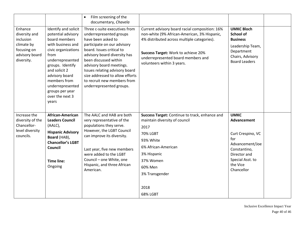|                                                                                                    |                                                                                                                                                                                                                                                                               | Film screening of the<br>$\bullet$<br>documentary, Chavela                                                                                                                                                                                                                                                                                                      |                                                                                                                                                                                                                                                          |                                                                                                                                                         |  |
|----------------------------------------------------------------------------------------------------|-------------------------------------------------------------------------------------------------------------------------------------------------------------------------------------------------------------------------------------------------------------------------------|-----------------------------------------------------------------------------------------------------------------------------------------------------------------------------------------------------------------------------------------------------------------------------------------------------------------------------------------------------------------|----------------------------------------------------------------------------------------------------------------------------------------------------------------------------------------------------------------------------------------------------------|---------------------------------------------------------------------------------------------------------------------------------------------------------|--|
| Enhance<br>diversity and<br>inclusion<br>climate by<br>focusing on<br>advisory board<br>diversity. | Identify and solicit<br>potential advisory<br>board members<br>with business and<br>civic organizations<br>from<br>underrepresented<br>groups. Identify<br>and solicit 2<br>advisory board<br>members from<br>underrepresented<br>groups per year<br>over the next 3<br>years | Three c-suite executives from<br>underrepresented groups<br>have been asked to<br>participate on our advisory<br>board. Issues critical to<br>advisory board diversity has<br>been discussed within<br>advisory board meetings.<br>Issues relating advisory board<br>size addressed to allow efforts<br>to recruit new members from<br>underrepresented groups. | Current advisory board racial composition: 16%<br>non-white (9% African-American, 3% Hispanic,<br>4% distributed across multiple categories).<br>Success Target: Work to achieve 20%<br>underrepresented board members and<br>volunteers within 3 years. | <b>UMKC Bloch</b><br>School of<br><b>Business</b><br>Leadership Team,<br>Department<br>Chairs, Advisory<br><b>Board Leaders</b>                         |  |
| Increase the<br>diversity of the<br>Chancellor-<br>level diversity<br>councils.                    | African-American<br><b>Leaders Council</b><br>(AALC),<br><b>Hispanic Advisory</b><br>Board (HAB),<br><b>Chancellor's LGBT</b><br>Council<br><b>Time line:</b><br>Ongoing                                                                                                      | The AALC and HAB are both<br>very representative of the<br>populations they serve.<br>However, the LGBT Council<br>can improve its diversity.<br>Last year, five new members<br>were added to the LGBT<br>Council - one White, one<br>Hispanic, and three African<br>American.                                                                                  | Success Target: Continue to track, enhance and<br>maintain diversity of council<br>2017<br><b>70% LGBT</b><br>93% White<br>6% African-American<br>3% Hispanic<br>37% Women<br>60% Men<br>3% Transgender<br>2018<br>68% LGBT                              | <b>UMKC</b><br>Advancement<br>Curt Crespino, VC<br>for<br>Advancement/Joe<br>Constantino,<br>Director and<br>Special Asst. to<br>the Vice<br>Chancellor |  |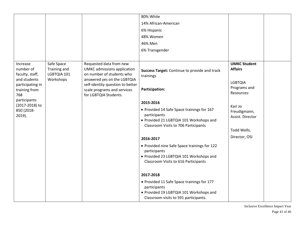|                                                                                                      |                                                        |                                                                                                                                                                                                                       | 80% White                                                                                                                                                                                                                                                                          |                                                                                       |  |
|------------------------------------------------------------------------------------------------------|--------------------------------------------------------|-----------------------------------------------------------------------------------------------------------------------------------------------------------------------------------------------------------------------|------------------------------------------------------------------------------------------------------------------------------------------------------------------------------------------------------------------------------------------------------------------------------------|---------------------------------------------------------------------------------------|--|
|                                                                                                      |                                                        |                                                                                                                                                                                                                       | 14% African-American                                                                                                                                                                                                                                                               |                                                                                       |  |
|                                                                                                      |                                                        |                                                                                                                                                                                                                       | 6% Hispanic                                                                                                                                                                                                                                                                        |                                                                                       |  |
|                                                                                                      |                                                        |                                                                                                                                                                                                                       | 48% Women                                                                                                                                                                                                                                                                          |                                                                                       |  |
|                                                                                                      |                                                        |                                                                                                                                                                                                                       | 46% Men                                                                                                                                                                                                                                                                            |                                                                                       |  |
|                                                                                                      |                                                        |                                                                                                                                                                                                                       | 6% Transgender                                                                                                                                                                                                                                                                     |                                                                                       |  |
|                                                                                                      |                                                        |                                                                                                                                                                                                                       |                                                                                                                                                                                                                                                                                    |                                                                                       |  |
| Increase<br>number of<br>faculty, staff,<br>and students<br>participating in<br>training from<br>768 | Safe Space<br>Training and<br>LGBTQIA 101<br>Workshops | Requested data from new<br><b>UMKC</b> admissions application<br>on number of students who<br>answered yes on the LGBTQIA<br>self-identity question to better<br>scale programs and services<br>for LGBTQIA Students. | Success Target: Continue to provide and track<br>trainings<br><b>Participation:</b>                                                                                                                                                                                                | <b>UMKC Student</b><br><b>Affairs</b><br><b>LGBTQIA</b><br>Programs and<br>Resources: |  |
| participants<br>(2017-2018) to<br>850 (2018-<br>2019).                                               |                                                        |                                                                                                                                                                                                                       | 2015-2016<br>• Provided 14 Safe Space trainings for 167<br>participants<br>• Provided 21 LGBTQIA 101 Workshops and<br>Classroom Visits to 706 Participants                                                                                                                         | Kari Jo<br>Freudigmann,<br>Assist. Director<br>Todd Wells,                            |  |
|                                                                                                      |                                                        |                                                                                                                                                                                                                       | 2016-2017<br>• Provided nine Safe Space trainings for 122<br>participants<br>• Provided 23 LGBTQIA 101 Workshops and<br>Classroom Visits to 616 Participants<br>2017-2018<br>• Provided 11 Safe Space trainings for 177<br>participants<br>• Provided 19 LGBTQIA 101 Workshops and | Director, OSI                                                                         |  |
|                                                                                                      |                                                        |                                                                                                                                                                                                                       | Classroom visits to 591 participants.                                                                                                                                                                                                                                              |                                                                                       |  |

Inclusive Excellence Impact Year Page 41 of 46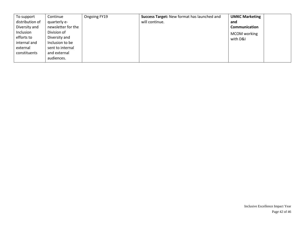| To support      | Continue           | Ongoing FY19 | Success Target: New format has launched and | <b>UMKC Marketing</b> |  |
|-----------------|--------------------|--------------|---------------------------------------------|-----------------------|--|
| distribution of | quarterly e-       |              | will continue.                              | and                   |  |
| Diversity and   | newsletter for the |              |                                             | Communication         |  |
| Inclusion       | Division of        |              |                                             | MCOM working          |  |
| efforts to      | Diversity and      |              |                                             | with D&I              |  |
| internal and    | Inclusion to be    |              |                                             |                       |  |
| external        | sent to internal   |              |                                             |                       |  |
| constituents    | and external       |              |                                             |                       |  |
|                 | audiences.         |              |                                             |                       |  |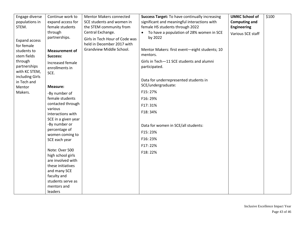| Engage diverse                                              | Continue work to                                                              | <b>Mentor Makers connected</b>                               | <b>Success Target: To have continually increasing</b>     | <b>UMKC School of</b> | \$100 |
|-------------------------------------------------------------|-------------------------------------------------------------------------------|--------------------------------------------------------------|-----------------------------------------------------------|-----------------------|-------|
| populations in                                              | expand access for                                                             | SCE students and women in                                    | significant and meaningful interactions with              | <b>Computing and</b>  |       |
| STEM.                                                       | female students                                                               | the STEM community from                                      | female HS students through 2022                           | <b>Engineering</b>    |       |
|                                                             | through                                                                       | Central Exchange.                                            | To have a population of 28% women in SCE                  | Various SCE staff     |       |
| <b>Expand access</b><br>for female                          | partnerships.                                                                 | Girls in Tech Hour of Code was<br>held in December 2017 with | by 2022                                                   |                       |       |
| students to                                                 | <b>Measurement of</b>                                                         | Grandview Middle School.                                     | Mentor Makers: first event-eight students; 10             |                       |       |
| stem fields                                                 | Success:                                                                      |                                                              | mentors.                                                  |                       |       |
| through<br>partnerships<br>with KC STEM,<br>including Girls | Increased female<br>enrollments in<br>SCE.                                    |                                                              | Girls in Tech-11 SCE students and alumni<br>participated. |                       |       |
| in Tech and                                                 |                                                                               |                                                              | Data for underrepresented students in                     |                       |       |
| Mentor                                                      | <b>Measure:</b>                                                               |                                                              | SCE/undergraduate:                                        |                       |       |
| Makers.                                                     | -By number of                                                                 |                                                              | F15:27%                                                   |                       |       |
|                                                             | female students                                                               |                                                              | F16: 29%                                                  |                       |       |
|                                                             | contacted through                                                             |                                                              | F17: 31%                                                  |                       |       |
|                                                             | various<br>interactions with                                                  |                                                              | F18: 34%                                                  |                       |       |
|                                                             | SCE in a given year                                                           |                                                              |                                                           |                       |       |
|                                                             | -By number or                                                                 |                                                              | Data for women in SCE/all students:                       |                       |       |
|                                                             | percentage of<br>women coming to                                              |                                                              | F15:23%                                                   |                       |       |
|                                                             | SCE each year                                                                 |                                                              | F16: 23%                                                  |                       |       |
|                                                             |                                                                               |                                                              | F17:22%                                                   |                       |       |
|                                                             | Note: Over 500<br>high school girls<br>are involved with<br>these initiatives |                                                              | F18: 22%                                                  |                       |       |
|                                                             | and many SCE                                                                  |                                                              |                                                           |                       |       |
|                                                             | faculty and<br>students serve as                                              |                                                              |                                                           |                       |       |
|                                                             | mentors and                                                                   |                                                              |                                                           |                       |       |
|                                                             | leaders                                                                       |                                                              |                                                           |                       |       |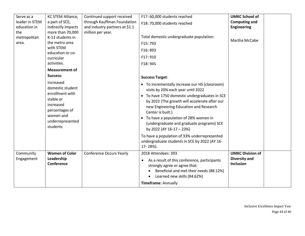| Serve as a<br>leader in STEM<br>education in<br>the<br>metropolitan<br>area. | KC STEM Alliance,<br>a part of SCE,<br>indirectly impacts<br>more than 70,000<br>K-12 students in<br>the metro area<br>with STEM<br>education or co-<br>curricular<br>activities. | Continued support received<br>through Kauffman Foundation<br>and industry partners at \$1.1<br>million per year. | F17: 60,000 students reached<br>F18: 70,000 students reached<br>Total domestic undergraduate population:<br>F15:793<br>F16: 893<br>F17: 910<br>F18: 945                                                                                                                                                                                                                                                                                                                                                       | <b>UMKC School of</b><br><b>Computing and</b><br><b>Engineering</b><br>Martha McCabe |  |
|------------------------------------------------------------------------------|-----------------------------------------------------------------------------------------------------------------------------------------------------------------------------------|------------------------------------------------------------------------------------------------------------------|---------------------------------------------------------------------------------------------------------------------------------------------------------------------------------------------------------------------------------------------------------------------------------------------------------------------------------------------------------------------------------------------------------------------------------------------------------------------------------------------------------------|--------------------------------------------------------------------------------------|--|
|                                                                              | <b>Measurement of</b><br>Success:<br>Increased<br>domestic student<br>enrollment with<br>stable or<br>increased<br>percentages of<br>women and<br>underrepresented<br>students    |                                                                                                                  | <b>Success Target:</b><br>• To incrementally increase our HS (classroom)<br>visits by 20% each year until 2022<br>• To have 1750 domestic undergraduates in SCE<br>by 2022 (The growth will accelerate after our<br>new Engineering Education and Research<br>Center is built.)<br>To have a population of 28% women in<br>(undergraduate and graduate programs) SCE<br>by 2022 (AY 16-17 - 23%)<br>To have a population of 33% underrepresented<br>undergraduate students in SCE by 2022 (AY 16-<br>17-28%). |                                                                                      |  |
| Community<br>Engagement                                                      | <b>Women of Color</b><br>Leadership<br>Conference                                                                                                                                 | <b>Conference Occurs Yearly</b>                                                                                  | 2018 Attendees: 393<br>As a result of this conference, participants<br>strongly agree or agree that:<br>Beneficial and met their needs (88.12%)<br>Learned new skills (84.62%)<br>$\bullet$<br>Timeframe: Annually                                                                                                                                                                                                                                                                                            | <b>UMKC Division of</b><br><b>Diversity and</b><br><b>Inclusion</b>                  |  |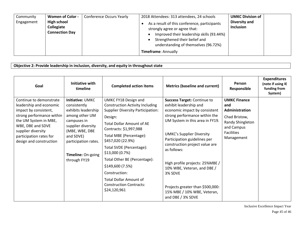| Community<br>Engagement | <b>Women of Color -</b><br><b>High school</b><br>Collegiate<br><b>Connection Day</b> | <b>Conference Occurs Yearly</b> | 2018 Attendees: 313 attendees, 24 schools<br>As a result of this conference, participants<br>strongly agree or agree that:<br>Improved their leadership skills (93.44%)<br>Strengthened their belief and<br>$\bullet$<br>understanding of themselves (96.72%) | <b>UMKC Division of</b><br>Diversity and<br><b>Inclusion</b> |  |
|-------------------------|--------------------------------------------------------------------------------------|---------------------------------|---------------------------------------------------------------------------------------------------------------------------------------------------------------------------------------------------------------------------------------------------------------|--------------------------------------------------------------|--|
|                         |                                                                                      |                                 | <b>Timeframe: Annually</b>                                                                                                                                                                                                                                    |                                                              |  |

**Objective 2: Provide leadership in inclusion, diversity, and equity in throughout state** 

| Goal                                                                                                                                                                                                                               | Initiative with<br>timeline                                                                                                                                                                                 | <b>Completed action items</b>                                                                                                                                                                                                                                                                                                                                                                                                             | <b>Metrics (baseline and current)</b>                                                                                                                                                                                                                                                                                                                                                                                                                       | Person<br>Responsible                                                                                                              | <b>Expenditures</b><br>(note if using IE<br>funding from<br>System) |
|------------------------------------------------------------------------------------------------------------------------------------------------------------------------------------------------------------------------------------|-------------------------------------------------------------------------------------------------------------------------------------------------------------------------------------------------------------|-------------------------------------------------------------------------------------------------------------------------------------------------------------------------------------------------------------------------------------------------------------------------------------------------------------------------------------------------------------------------------------------------------------------------------------------|-------------------------------------------------------------------------------------------------------------------------------------------------------------------------------------------------------------------------------------------------------------------------------------------------------------------------------------------------------------------------------------------------------------------------------------------------------------|------------------------------------------------------------------------------------------------------------------------------------|---------------------------------------------------------------------|
| Continue to demonstrate<br>leadership and economic<br>impact by consistent,<br>strong performance within<br>the UM System in MBE,<br>WBE, DBE and SDVE<br>supplier diversity<br>participation rates for<br>design and construction | Initiative: UMKC<br>consistently<br>exhibits leadership<br>among other UM<br>campuses in<br>supplier diversity<br>(MBE, WBE, DBE<br>and SDVE)<br>participation rates.<br>Timeline: On-going<br>through FY19 | UMKC FY18 Design and<br><b>Construction Activity Including</b><br><b>Supplier Diversity Participation:</b><br>Design:<br><b>Total Dollar Amount of AE</b><br>Contracts: \$1,997,988<br>Total MBE (Percentage):<br>\$457,020 (22.9%)<br>Total SVDE (Percentage):<br>\$13,000(0.7%)<br>Total Other BE (Percentage):<br>\$149,600 (7.5%)<br>Construction:<br><b>Total Dollar Amount of</b><br><b>Construction Contracts:</b><br>\$24,120,961 | <b>Success Target: Continue to</b><br>exhibit leadership and<br>economic impact by consistent<br>strong performance within the<br>UM System in this area in FY19.<br><b>UMKC's Supplier Diversity</b><br>Participation guidelines per<br>construction project value are<br>as follows:<br>High profile projects: 25%MBE /<br>10% WBE, Veteran, and DBE /<br>3% SDVE<br>Projects greater than \$500,000:<br>15% MBE / 10% WBE, Veteran,<br>and DBE / 3% SDVE | <b>UMKC Finance</b><br>and<br>Administration<br>Chad Bristow,<br>Randy Shingleton<br>and Campus<br><b>Facilities</b><br>Management |                                                                     |

Inclusive Excellence Impact Year Page 45 of 46